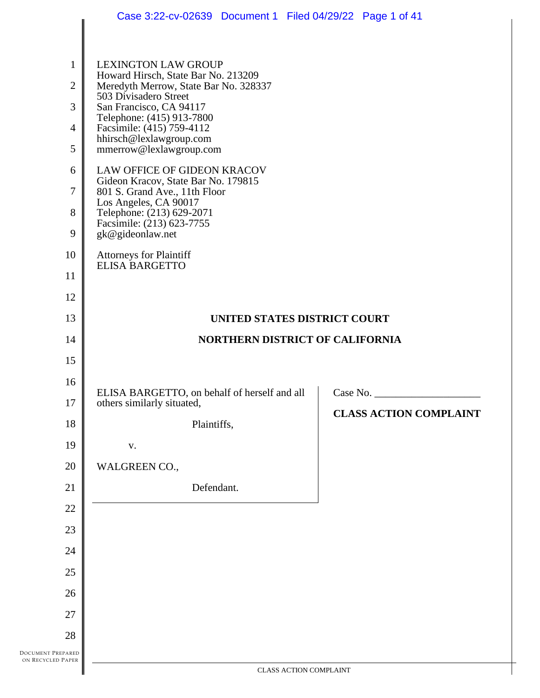|                                                                               | Case 3:22-cv-02639 Document 1 Filed 04/29/22 Page 1 of 41                                                                                                                                                                                                                                                                                                                                                                                                                                                                                               |                                           |
|-------------------------------------------------------------------------------|---------------------------------------------------------------------------------------------------------------------------------------------------------------------------------------------------------------------------------------------------------------------------------------------------------------------------------------------------------------------------------------------------------------------------------------------------------------------------------------------------------------------------------------------------------|-------------------------------------------|
| $\mathbf{1}$<br>$\overline{2}$<br>3<br>4<br>5<br>6<br>7<br>8<br>9<br>10<br>11 | <b>LEXINGTON LAW GROUP</b><br>Howard Hirsch, State Bar No. 213209<br>Meredyth Merrow, State Bar No. 328337<br>503 Divisadero Street<br>San Francisco, CA 94117<br>Telephone: (415) 913-7800<br>Facsimile: (415) 759-4112<br>hhirsch@lexlawgroup.com<br>mmerrow@lexlawgroup.com<br>LAW OFFICE OF GIDEON KRACOV<br>Gideon Kracov, State Bar No. 179815<br>801 S. Grand Ave., 11th Floor<br>Los Angeles, CA 90017<br>Telephone: (213) 629-2071<br>Facsimile: (213) 623-7755<br>gk@gideonlaw.net<br><b>Attorneys for Plaintiff</b><br><b>ELISA BARGETTO</b> |                                           |
| 12                                                                            |                                                                                                                                                                                                                                                                                                                                                                                                                                                                                                                                                         |                                           |
| 13                                                                            | UNITED STATES DISTRICT COURT                                                                                                                                                                                                                                                                                                                                                                                                                                                                                                                            |                                           |
| 14                                                                            | NORTHERN DISTRICT OF CALIFORNIA                                                                                                                                                                                                                                                                                                                                                                                                                                                                                                                         |                                           |
| 15                                                                            |                                                                                                                                                                                                                                                                                                                                                                                                                                                                                                                                                         |                                           |
| 16<br>17<br>18<br>19                                                          | ELISA BARGETTO, on behalf of herself and all<br>others similarly situated,<br>Plaintiffs,                                                                                                                                                                                                                                                                                                                                                                                                                                                               | Case No.<br><b>CLASS ACTION COMPLAINT</b> |
| 20                                                                            | ${\bf V}$ .<br>WALGREEN CO.,                                                                                                                                                                                                                                                                                                                                                                                                                                                                                                                            |                                           |
| 21                                                                            | Defendant.                                                                                                                                                                                                                                                                                                                                                                                                                                                                                                                                              |                                           |
| 22                                                                            |                                                                                                                                                                                                                                                                                                                                                                                                                                                                                                                                                         |                                           |
| 23                                                                            |                                                                                                                                                                                                                                                                                                                                                                                                                                                                                                                                                         |                                           |
| 24                                                                            |                                                                                                                                                                                                                                                                                                                                                                                                                                                                                                                                                         |                                           |
| 25                                                                            |                                                                                                                                                                                                                                                                                                                                                                                                                                                                                                                                                         |                                           |
| 26                                                                            |                                                                                                                                                                                                                                                                                                                                                                                                                                                                                                                                                         |                                           |
| 27                                                                            |                                                                                                                                                                                                                                                                                                                                                                                                                                                                                                                                                         |                                           |
| 28                                                                            |                                                                                                                                                                                                                                                                                                                                                                                                                                                                                                                                                         |                                           |
| REPARED<br><b>D</b> PAPER                                                     |                                                                                                                                                                                                                                                                                                                                                                                                                                                                                                                                                         |                                           |
|                                                                               | CLASS ACTION COMPLAINT                                                                                                                                                                                                                                                                                                                                                                                                                                                                                                                                  |                                           |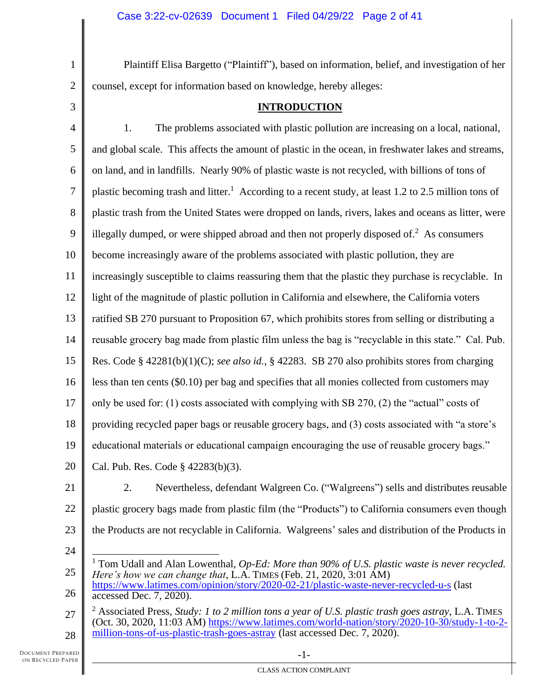Plaintiff Elisa Bargetto ("Plaintiff"), based on information, belief, and investigation of her counsel, except for information based on knowledge, hereby alleges:

3

1

2

# **INTRODUCTION**

4 5 6 7 8 9 10 11 12 13 14 15 16 17 18 19 20 1. The problems associated with plastic pollution are increasing on a local, national, and global scale. This affects the amount of plastic in the ocean, in freshwater lakes and streams, on land, and in landfills. Nearly 90% of plastic waste is not recycled, with billions of tons of plastic becoming trash and litter.<sup>1</sup> According to a recent study, at least 1.2 to 2.5 million tons of plastic trash from the United States were dropped on lands, rivers, lakes and oceans as litter, were illegally dumped, or were shipped abroad and then not properly disposed of.<sup>2</sup> As consumers become increasingly aware of the problems associated with plastic pollution, they are increasingly susceptible to claims reassuring them that the plastic they purchase is recyclable. In light of the magnitude of plastic pollution in California and elsewhere, the California voters ratified SB 270 pursuant to Proposition 67, which prohibits stores from selling or distributing a reusable grocery bag made from plastic film unless the bag is "recyclable in this state." Cal. Pub. Res. Code § 42281(b)(1)(C); *see also id.*, § 42283. SB 270 also prohibits stores from charging less than ten cents (\$0.10) per bag and specifies that all monies collected from customers may only be used for: (1) costs associated with complying with SB 270, (2) the "actual" costs of providing recycled paper bags or reusable grocery bags, and (3) costs associated with "a store's educational materials or educational campaign encouraging the use of reusable grocery bags." Cal. Pub. Res. Code § 42283(b)(3).

21 22 23 2. Nevertheless, defendant Walgreen Co. ("Walgreens") sells and distributes reusable plastic grocery bags made from plastic film (the "Products") to California consumers even though the Products are not recyclable in California. Walgreens' sales and distribution of the Products in

<sup>25</sup> <sup>1</sup> Tom Udall and Alan Lowenthal, *Op-Ed: More than 90% of U.S. plastic waste is never recycled. Here's how we can change that*, L.A. TIMES (Feb. 21, 2020, 3:01 AM)

<sup>26</sup> <https://www.latimes.com/opinion/story/2020-02-21/plastic-waste-never-recycled-u-s> (last accessed Dec. 7, 2020).

<sup>27</sup> 28 <sup>2</sup> Associated Press, *Study: 1 to 2 million tons a year of U.S. plastic trash goes astray*, L.A. TIMES (Oct. 30, 2020, 11:03 AM) [https://www.latimes.com/world-nation/story/2020-10-30/study-1-to-2](https://www.latimes.com/world-nation/story/2020-10-30/study-1-to-2-million-tons-of-us-plastic-trash-goes-astray) [million-tons-of-us-plastic-trash-goes-astray](https://www.latimes.com/world-nation/story/2020-10-30/study-1-to-2-million-tons-of-us-plastic-trash-goes-astray) (last accessed Dec. 7, 2020).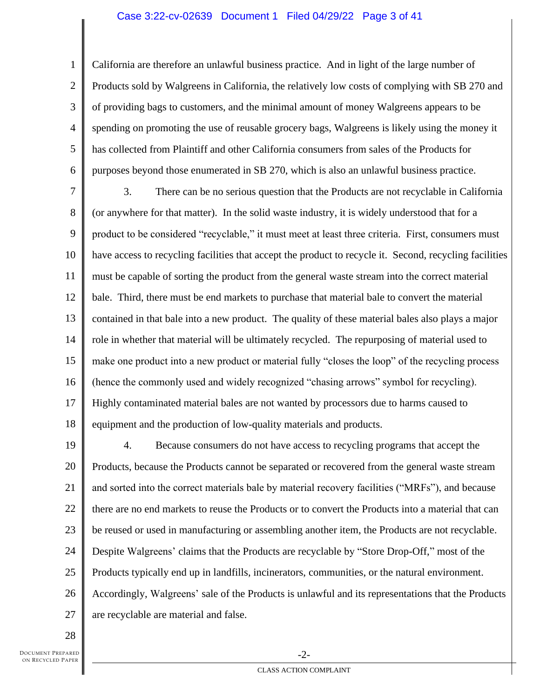#### Case 3:22-cv-02639 Document 1 Filed 04/29/22 Page 3 of 41

1 2 3 4 5 6 California are therefore an unlawful business practice. And in light of the large number of Products sold by Walgreens in California, the relatively low costs of complying with SB 270 and of providing bags to customers, and the minimal amount of money Walgreens appears to be spending on promoting the use of reusable grocery bags, Walgreens is likely using the money it has collected from Plaintiff and other California consumers from sales of the Products for purposes beyond those enumerated in SB 270, which is also an unlawful business practice.

7 8 9 10 11 12 13 14 15 16 17 18 3. There can be no serious question that the Products are not recyclable in California (or anywhere for that matter). In the solid waste industry, it is widely understood that for a product to be considered "recyclable," it must meet at least three criteria. First, consumers must have access to recycling facilities that accept the product to recycle it. Second, recycling facilities must be capable of sorting the product from the general waste stream into the correct material bale. Third, there must be end markets to purchase that material bale to convert the material contained in that bale into a new product. The quality of these material bales also plays a major role in whether that material will be ultimately recycled. The repurposing of material used to make one product into a new product or material fully "closes the loop" of the recycling process (hence the commonly used and widely recognized "chasing arrows" symbol for recycling). Highly contaminated material bales are not wanted by processors due to harms caused to equipment and the production of low-quality materials and products.

19 20 21 22 23 24 25 26 27 4. Because consumers do not have access to recycling programs that accept the Products, because the Products cannot be separated or recovered from the general waste stream and sorted into the correct materials bale by material recovery facilities ("MRFs"), and because there are no end markets to reuse the Products or to convert the Products into a material that can be reused or used in manufacturing or assembling another item, the Products are not recyclable. Despite Walgreens' claims that the Products are recyclable by "Store Drop-Off," most of the Products typically end up in landfills, incinerators, communities, or the natural environment. Accordingly, Walgreens' sale of the Products is unlawful and its representations that the Products are recyclable are material and false.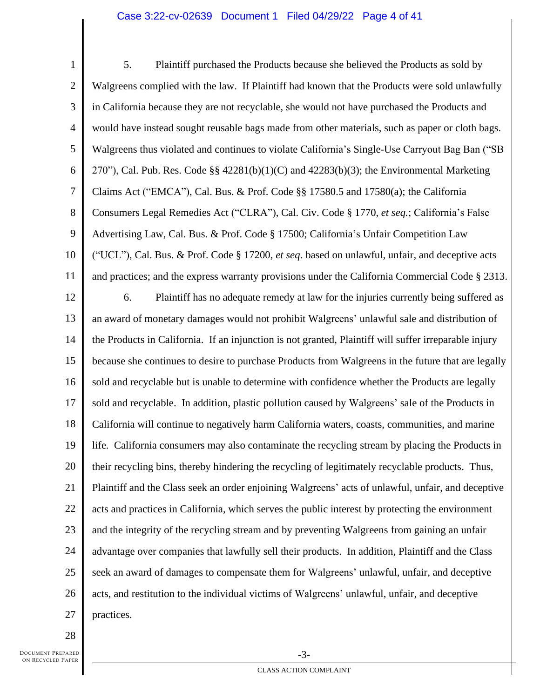#### Case 3:22-cv-02639 Document 1 Filed 04/29/22 Page 4 of 41

1 2 3 4 5 6 7 8 9 10 11 12 13 14 15 16 17 18 19 20 21 22 23 24 25 26 27 5. Plaintiff purchased the Products because she believed the Products as sold by Walgreens complied with the law. If Plaintiff had known that the Products were sold unlawfully in California because they are not recyclable, she would not have purchased the Products and would have instead sought reusable bags made from other materials, such as paper or cloth bags. Walgreens thus violated and continues to violate California's Single-Use Carryout Bag Ban ("SB 270"), Cal. Pub. Res. Code §§ 42281(b)(1)(C) and 42283(b)(3); the Environmental Marketing Claims Act ("EMCA"), Cal. Bus. & Prof. Code §§ 17580.5 and 17580(a); the California Consumers Legal Remedies Act ("CLRA"), Cal. Civ. Code § 1770, *et seq.*; California's False Advertising Law, Cal. Bus. & Prof. Code § 17500; California's Unfair Competition Law ("UCL"), Cal. Bus. & Prof. Code § 17200, *et seq*. based on unlawful, unfair, and deceptive acts and practices; and the express warranty provisions under the California Commercial Code § 2313. 6. Plaintiff has no adequate remedy at law for the injuries currently being suffered as an award of monetary damages would not prohibit Walgreens' unlawful sale and distribution of the Products in California. If an injunction is not granted, Plaintiff will suffer irreparable injury because she continues to desire to purchase Products from Walgreens in the future that are legally sold and recyclable but is unable to determine with confidence whether the Products are legally sold and recyclable. In addition, plastic pollution caused by Walgreens' sale of the Products in California will continue to negatively harm California waters, coasts, communities, and marine life. California consumers may also contaminate the recycling stream by placing the Products in their recycling bins, thereby hindering the recycling of legitimately recyclable products. Thus, Plaintiff and the Class seek an order enjoining Walgreens' acts of unlawful, unfair, and deceptive acts and practices in California, which serves the public interest by protecting the environment and the integrity of the recycling stream and by preventing Walgreens from gaining an unfair advantage over companies that lawfully sell their products. In addition, Plaintiff and the Class seek an award of damages to compensate them for Walgreens' unlawful, unfair, and deceptive acts, and restitution to the individual victims of Walgreens' unlawful, unfair, and deceptive practices.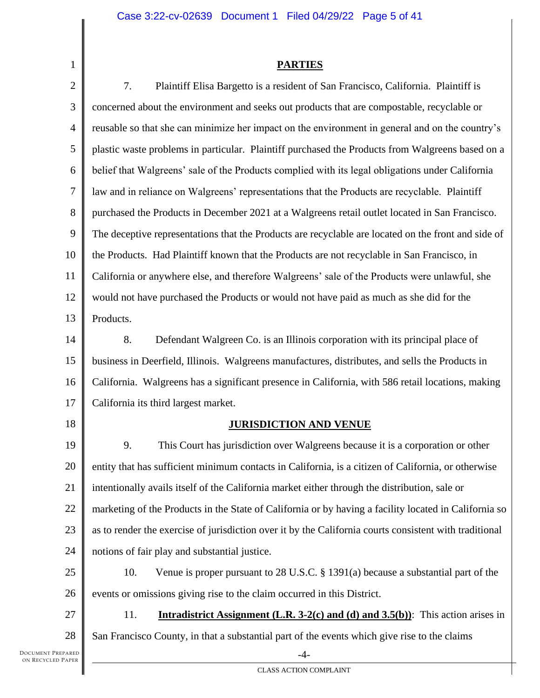## **PARTIES**

2 3 4 5 6 7 8 9 10 11 12 13 14 15 16 17 18 19 20 21 22 23 24 25 26 27 28 -4- 7. Plaintiff Elisa Bargetto is a resident of San Francisco, California. Plaintiff is concerned about the environment and seeks out products that are compostable, recyclable or reusable so that she can minimize her impact on the environment in general and on the country's plastic waste problems in particular. Plaintiff purchased the Products from Walgreens based on a belief that Walgreens' sale of the Products complied with its legal obligations under California law and in reliance on Walgreens' representations that the Products are recyclable. Plaintiff purchased the Products in December 2021 at a Walgreens retail outlet located in San Francisco. The deceptive representations that the Products are recyclable are located on the front and side of the Products. Had Plaintiff known that the Products are not recyclable in San Francisco, in California or anywhere else, and therefore Walgreens' sale of the Products were unlawful, she would not have purchased the Products or would not have paid as much as she did for the Products. 8. Defendant Walgreen Co. is an Illinois corporation with its principal place of business in Deerfield, Illinois. Walgreens manufactures, distributes, and sells the Products in California. Walgreens has a significant presence in California, with 586 retail locations, making California its third largest market. **JURISDICTION AND VENUE** 9. This Court has jurisdiction over Walgreens because it is a corporation or other entity that has sufficient minimum contacts in California, is a citizen of California, or otherwise intentionally avails itself of the California market either through the distribution, sale or marketing of the Products in the State of California or by having a facility located in California so as to render the exercise of jurisdiction over it by the California courts consistent with traditional notions of fair play and substantial justice. 10. Venue is proper pursuant to 28 U.S.C. § 1391(a) because a substantial part of the events or omissions giving rise to the claim occurred in this District. 11. **Intradistrict Assignment (L.R. 3-2(c) and (d) and 3.5(b))**: This action arises in San Francisco County, in that a substantial part of the events which give rise to the claims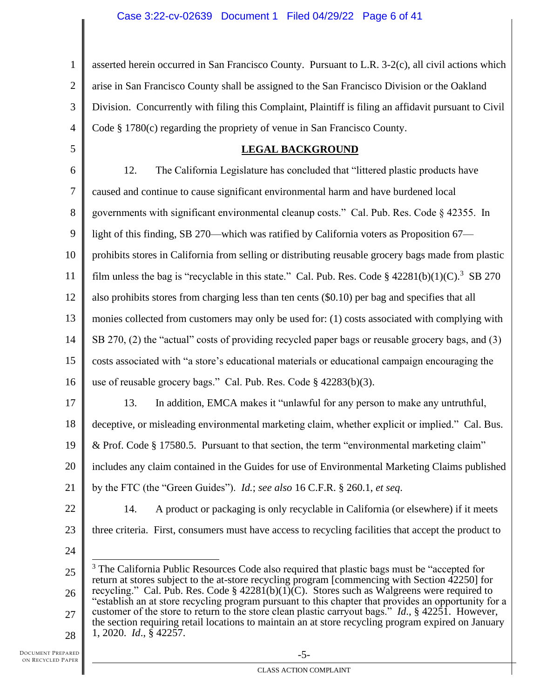1 2 3 4 asserted herein occurred in San Francisco County. Pursuant to L.R. 3-2(c), all civil actions which arise in San Francisco County shall be assigned to the San Francisco Division or the Oakland Division. Concurrently with filing this Complaint, Plaintiff is filing an affidavit pursuant to Civil Code § 1780(c) regarding the propriety of venue in San Francisco County.

# **LEGAL BACKGROUND**

6 7 8 9 10 11 12 13 14 15 16 17 18 12. The California Legislature has concluded that "littered plastic products have caused and continue to cause significant environmental harm and have burdened local governments with significant environmental cleanup costs." Cal. Pub. Res. Code § 42355. In light of this finding, SB 270—which was ratified by California voters as Proposition 67 prohibits stores in California from selling or distributing reusable grocery bags made from plastic film unless the bag is "recyclable in this state." Cal. Pub. Res. Code §  $42281(b)(1)(C)$ .<sup>3</sup> SB 270 also prohibits stores from charging less than ten cents (\$0.10) per bag and specifies that all monies collected from customers may only be used for: (1) costs associated with complying with SB 270, (2) the "actual" costs of providing recycled paper bags or reusable grocery bags, and (3) costs associated with "a store's educational materials or educational campaign encouraging the use of reusable grocery bags." Cal. Pub. Res. Code § 42283(b)(3). 13. In addition, EMCA makes it "unlawful for any person to make any untruthful, deceptive, or misleading environmental marketing claim, whether explicit or implied." Cal. Bus.

19 & Prof. Code § 17580.5. Pursuant to that section, the term "environmental marketing claim"

20 includes any claim contained in the Guides for use of Environmental Marketing Claims published

14. A product or packaging is only recyclable in California (or elsewhere) if it meets

three criteria. First, consumers must have access to recycling facilities that accept the product to

21 by the FTC (the "Green Guides"). *Id.*; *see also* 16 C.F.R. § 260.1, *et seq*.

22

5

23

<sup>25</sup> 26 27 28 <sup>3</sup> The California Public Resources Code also required that plastic bags must be "accepted for return at stores subject to the at-store recycling program [commencing with Section 42250] for recycling." Cal. Pub. Res. Code §  $42281(b)(1)(C)$ . Stores such as Walgreens were required to "establish an at store recycling program pursuant to this chapter that provides an opportunity for a customer of the store to return to the store clean plastic carryout bags." *Id*., § 42251. However, the section requiring retail locations to maintain an at store recycling program expired on January 1, 2020. *Id*., § 42257.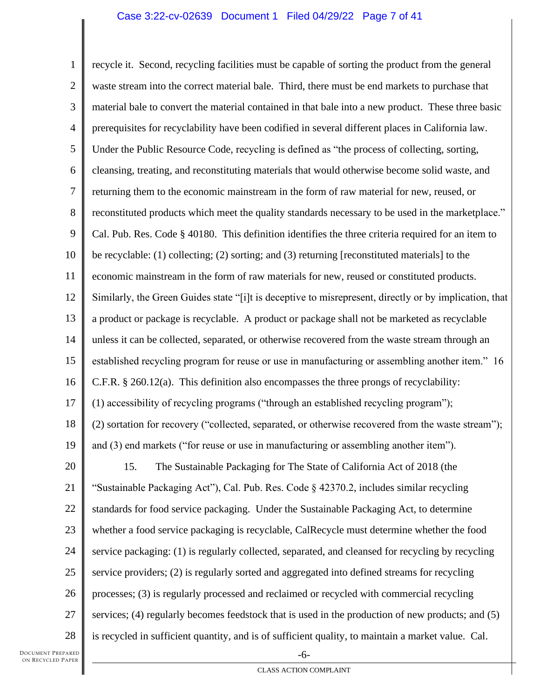### Case 3:22-cv-02639 Document 1 Filed 04/29/22 Page 7 of 41

1 2 3 4 5 6 7 8 9 10 11 12 13 14 15 16 17 18 19 20 21 22 23 24 25 26 27 28 -6 recycle it. Second, recycling facilities must be capable of sorting the product from the general waste stream into the correct material bale. Third, there must be end markets to purchase that material bale to convert the material contained in that bale into a new product. These three basic prerequisites for recyclability have been codified in several different places in California law. Under the Public Resource Code, recycling is defined as "the process of collecting, sorting, cleansing, treating, and reconstituting materials that would otherwise become solid waste, and returning them to the economic mainstream in the form of raw material for new, reused, or reconstituted products which meet the quality standards necessary to be used in the marketplace." Cal. Pub. Res. Code § 40180. This definition identifies the three criteria required for an item to be recyclable: (1) collecting; (2) sorting; and (3) returning [reconstituted materials] to the economic mainstream in the form of raw materials for new, reused or constituted products. Similarly, the Green Guides state "[i]t is deceptive to misrepresent, directly or by implication, that a product or package is recyclable. A product or package shall not be marketed as recyclable unless it can be collected, separated, or otherwise recovered from the waste stream through an established recycling program for reuse or use in manufacturing or assembling another item." 16 C.F.R. § 260.12(a). This definition also encompasses the three prongs of recyclability: (1) accessibility of recycling programs ("through an established recycling program"); (2) sortation for recovery ("collected, separated, or otherwise recovered from the waste stream"); and (3) end markets ("for reuse or use in manufacturing or assembling another item"). 15. The Sustainable Packaging for The State of California Act of 2018 (the "Sustainable Packaging Act"), Cal. Pub. Res. Code § 42370.2, includes similar recycling standards for food service packaging. Under the Sustainable Packaging Act, to determine whether a food service packaging is recyclable, CalRecycle must determine whether the food service packaging: (1) is regularly collected, separated, and cleansed for recycling by recycling service providers; (2) is regularly sorted and aggregated into defined streams for recycling processes; (3) is regularly processed and reclaimed or recycled with commercial recycling services; (4) regularly becomes feedstock that is used in the production of new products; and (5) is recycled in sufficient quantity, and is of sufficient quality, to maintain a market value. Cal.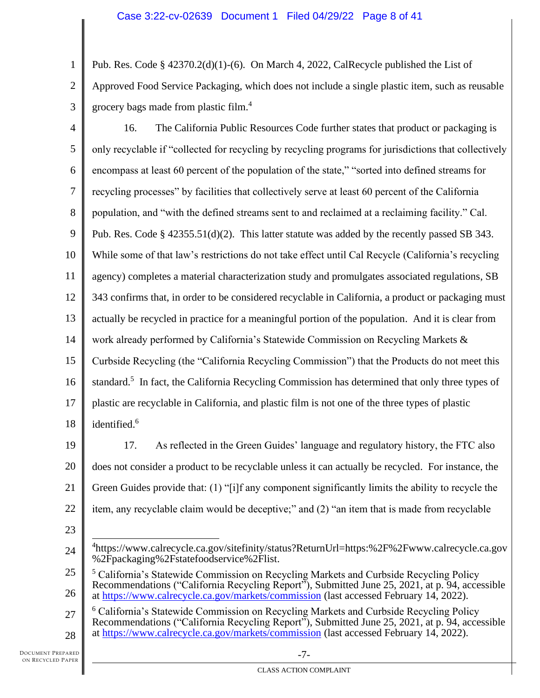1 2 Pub. Res. Code  $\S 42370.2(d)(1)-(6)$ . On March 4, 2022, CalRecycle published the List of Approved Food Service Packaging, which does not include a single plastic item, such as reusable grocery bags made from plastic film.<sup>4</sup>

3

4 5 6 7 8 9 10 11 12 13 14 15 16 17 18 16. The California Public Resources Code further states that product or packaging is only recyclable if "collected for recycling by recycling programs for jurisdictions that collectively encompass at least 60 percent of the population of the state," "sorted into defined streams for recycling processes" by facilities that collectively serve at least 60 percent of the California population, and "with the defined streams sent to and reclaimed at a reclaiming facility." Cal. Pub. Res. Code §  $42355.51(d)(2)$ . This latter statute was added by the recently passed SB 343. While some of that law's restrictions do not take effect until Cal Recycle (California's recycling agency) completes a material characterization study and promulgates associated regulations, SB 343 confirms that, in order to be considered recyclable in California, a product or packaging must actually be recycled in practice for a meaningful portion of the population. And it is clear from work already performed by California's Statewide Commission on Recycling Markets & Curbside Recycling (the "California Recycling Commission") that the Products do not meet this standard.<sup>5</sup> In fact, the California Recycling Commission has determined that only three types of plastic are recyclable in California, and plastic film is not one of the three types of plastic identified.<sup>6</sup>

19

20 21 22 17. As reflected in the Green Guides' language and regulatory history, the FTC also does not consider a product to be recyclable unless it can actually be recycled. For instance, the Green Guides provide that: (1) "[i]f any component significantly limits the ability to recycle the item, any recyclable claim would be deceptive;" and (2) "an item that is made from recyclable

<sup>24</sup> 4 https://www.calrecycle.ca.gov/sitefinity/status?ReturnUrl=https:%2F%2Fwww.calrecycle.ca.gov %2Fpackaging%2Fstatefoodservice%2Flist.

<sup>25</sup> 26 <sup>5</sup> California's Statewide Commission on Recycling Markets and Curbside Recycling Policy Recommendations ("California Recycling Report"), Submitted June 25, 2021, at p. 94, accessible at<https://www.calrecycle.ca.gov/markets/commission> (last accessed February 14, 2022).

<sup>27</sup> 28 <sup>6</sup> California's Statewide Commission on Recycling Markets and Curbside Recycling Policy Recommendations ("California Recycling Report"), Submitted June 25, 2021, at p. 94, accessible at<https://www.calrecycle.ca.gov/markets/commission> (last accessed February 14, 2022).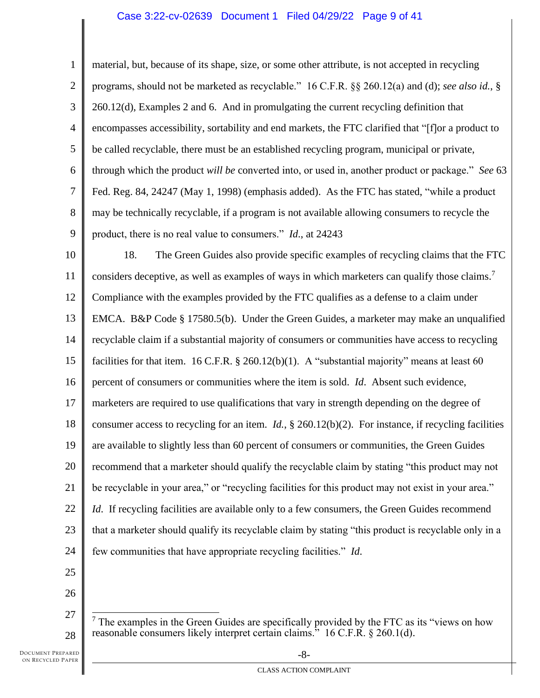# Case 3:22-cv-02639 Document 1 Filed 04/29/22 Page 9 of 41

1 2 3 4 5 6 7 8 9 10 11 12 13 14 15 16 17 18 19 20 21 22 23 24 25 26 material, but, because of its shape, size, or some other attribute, is not accepted in recycling programs, should not be marketed as recyclable." 16 C.F.R. §§ 260.12(a) and (d); *see also id.*, § 260.12(d), Examples 2 and 6. And in promulgating the current recycling definition that encompasses accessibility, sortability and end markets, the FTC clarified that "[f]or a product to be called recyclable, there must be an established recycling program, municipal or private, through which the product *will be* converted into, or used in, another product or package." *See* 63 Fed. Reg. 84, 24247 (May 1, 1998) (emphasis added). As the FTC has stated, "while a product may be technically recyclable, if a program is not available allowing consumers to recycle the product, there is no real value to consumers." *Id*., at 24243 18. The Green Guides also provide specific examples of recycling claims that the FTC considers deceptive, as well as examples of ways in which marketers can qualify those claims.<sup>7</sup> Compliance with the examples provided by the FTC qualifies as a defense to a claim under EMCA. B&P Code § 17580.5(b). Under the Green Guides, a marketer may make an unqualified recyclable claim if a substantial majority of consumers or communities have access to recycling facilities for that item. 16 C.F.R.  $\S$  260.12(b)(1). A "substantial majority" means at least 60 percent of consumers or communities where the item is sold. *Id*. Absent such evidence, marketers are required to use qualifications that vary in strength depending on the degree of consumer access to recycling for an item. *Id.*, § 260.12(b)(2). For instance, if recycling facilities are available to slightly less than 60 percent of consumers or communities, the Green Guides recommend that a marketer should qualify the recyclable claim by stating "this product may not be recyclable in your area," or "recycling facilities for this product may not exist in your area." *Id.* If recycling facilities are available only to a few consumers, the Green Guides recommend that a marketer should qualify its recyclable claim by stating "this product is recyclable only in a few communities that have appropriate recycling facilities." *Id*.

<sup>27</sup> 28  $<sup>7</sup>$  The examples in the Green Guides are specifically provided by the FTC as its "views on how</sup> reasonable consumers likely interpret certain claims." 16 C.F.R. § 260.1(d).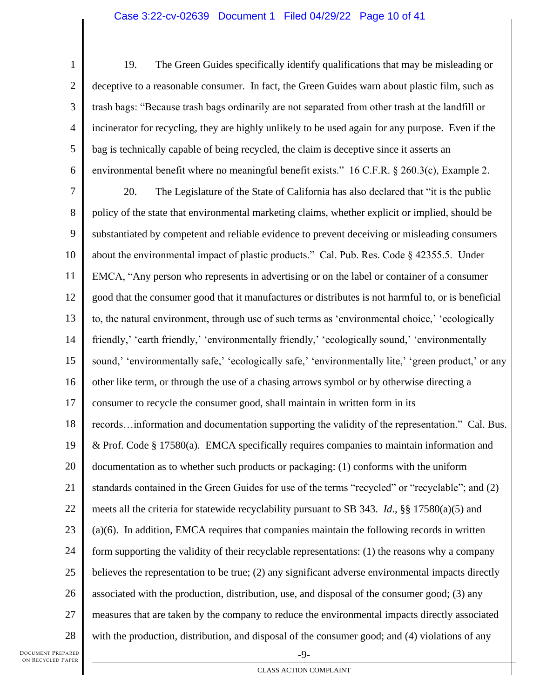# Case 3:22-cv-02639 Document 1 Filed 04/29/22 Page 10 of 41

1 2 3 4 5 6 19. The Green Guides specifically identify qualifications that may be misleading or deceptive to a reasonable consumer. In fact, the Green Guides warn about plastic film, such as trash bags: "Because trash bags ordinarily are not separated from other trash at the landfill or incinerator for recycling, they are highly unlikely to be used again for any purpose. Even if the bag is technically capable of being recycled, the claim is deceptive since it asserts an environmental benefit where no meaningful benefit exists." 16 C.F.R. § 260.3(c), Example 2.

7 8 9 10 11 12 13 14 15 16 17 18 19 20 21 22 23 24 25 26 27 28 20. The Legislature of the State of California has also declared that "it is the public policy of the state that environmental marketing claims, whether explicit or implied, should be substantiated by competent and reliable evidence to prevent deceiving or misleading consumers about the environmental impact of plastic products." Cal. Pub. Res. Code  $\S$  42355.5. Under EMCA, "Any person who represents in advertising or on the label or container of a consumer good that the consumer good that it manufactures or distributes is not harmful to, or is beneficial to, the natural environment, through use of such terms as 'environmental choice,' 'ecologically friendly,' 'earth friendly,' 'environmentally friendly,' 'ecologically sound,' 'environmentally sound,' 'environmentally safe,' 'ecologically safe,' 'environmentally lite,' 'green product,' or any other like term, or through the use of a chasing arrows symbol or by otherwise directing a consumer to recycle the consumer good, shall maintain in written form in its records…information and documentation supporting the validity of the representation." Cal. Bus. & Prof. Code § 17580(a). EMCA specifically requires companies to maintain information and documentation as to whether such products or packaging: (1) conforms with the uniform standards contained in the Green Guides for use of the terms "recycled" or "recyclable"; and (2) meets all the criteria for statewide recyclability pursuant to SB 343. *Id*., §§ 17580(a)(5) and (a)(6). In addition, EMCA requires that companies maintain the following records in written form supporting the validity of their recyclable representations: (1) the reasons why a company believes the representation to be true; (2) any significant adverse environmental impacts directly associated with the production, distribution, use, and disposal of the consumer good; (3) any measures that are taken by the company to reduce the environmental impacts directly associated with the production, distribution, and disposal of the consumer good; and (4) violations of any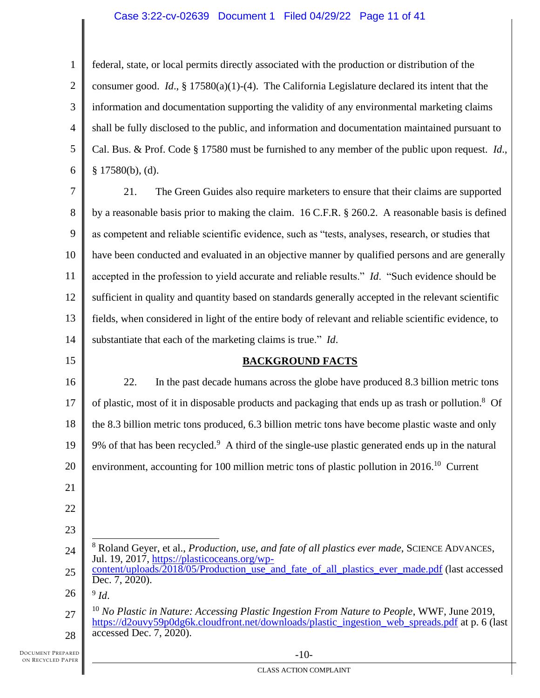# Case 3:22-cv-02639 Document 1 Filed 04/29/22 Page 11 of 41

1 2 3 4 5 6 federal, state, or local permits directly associated with the production or distribution of the consumer good. *Id*., § 17580(a)(1)-(4). The California Legislature declared its intent that the information and documentation supporting the validity of any environmental marketing claims shall be fully disclosed to the public, and information and documentation maintained pursuant to Cal. Bus. & Prof. Code § 17580 must be furnished to any member of the public upon request. *Id*.,  $§ 17580(b), (d).$ 

7 8 9 10 11 12 13 14 21. The Green Guides also require marketers to ensure that their claims are supported by a reasonable basis prior to making the claim. 16 C.F.R. § 260.2. A reasonable basis is defined as competent and reliable scientific evidence, such as "tests, analyses, research, or studies that have been conducted and evaluated in an objective manner by qualified persons and are generally accepted in the profession to yield accurate and reliable results." *Id*. "Such evidence should be sufficient in quality and quantity based on standards generally accepted in the relevant scientific fields, when considered in light of the entire body of relevant and reliable scientific evidence, to substantiate that each of the marketing claims is true." *Id*.

# **BACKGROUND FACTS**

16 17 18 19 20 22. In the past decade humans across the globe have produced 8.3 billion metric tons of plastic, most of it in disposable products and packaging that ends up as trash or pollution.<sup>8</sup> Of the 8.3 billion metric tons produced, 6.3 billion metric tons have become plastic waste and only 9% of that has been recycled. $9$  A third of the single-use plastic generated ends up in the natural environment, accounting for 100 million metric tons of plastic pollution in  $2016$ <sup>10</sup> Current

21 22

15

- 23
- 
- 24

<sup>8</sup> Roland Geyer, et al., *Production, use, and fate of all plastics ever made*, SCIENCE ADVANCES, Jul. 19, 2017, [https://plasticoceans.org/wp-](https://plasticoceans.org/wp-content/uploads/2018/05/Production_use_and_fate_of_all_plastics_ever_made.pdf)

25 [content/uploads/2018/05/Production\\_use\\_and\\_fate\\_of\\_all\\_plastics\\_ever\\_made.pdf](https://plasticoceans.org/wp-content/uploads/2018/05/Production_use_and_fate_of_all_plastics_ever_made.pdf) (last accessed Dec. 7, 2020).

26 9 *Id*.

27 28 <sup>10</sup> No Plastic in Nature: Accessing Plastic Ingestion From Nature to People, WWF, June 2019, [https://d2ouvy59p0dg6k.cloudfront.net/downloads/plastic\\_ingestion\\_web\\_spreads.pdf](https://d2ouvy59p0dg6k.cloudfront.net/downloads/plastic_ingestion_web_spreads.pdf) at p. 6 (last accessed Dec. 7, 2020).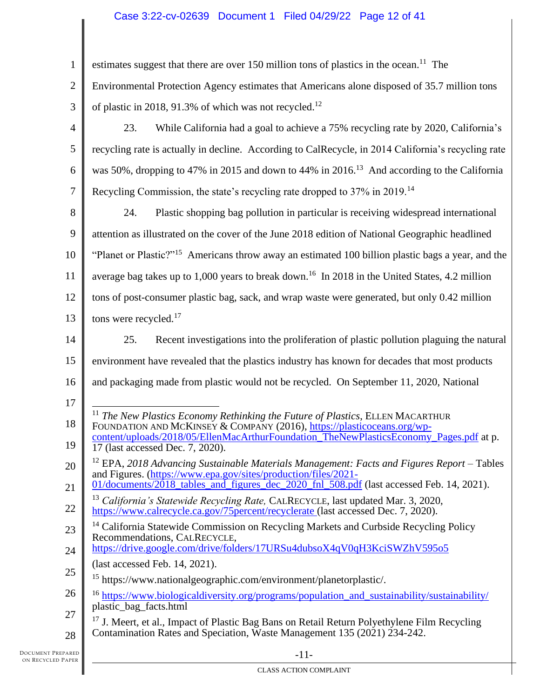# Case 3:22-cv-02639 Document 1 Filed 04/29/22 Page 12 of 41

| $\mathbf{1}$   | estimates suggest that there are over 150 million tons of plastics in the ocean. <sup>11</sup> The                                                                               |
|----------------|----------------------------------------------------------------------------------------------------------------------------------------------------------------------------------|
| $\overline{2}$ | Environmental Protection Agency estimates that Americans alone disposed of 35.7 million tons                                                                                     |
| 3              | of plastic in 2018, 91.3% of which was not recycled. <sup>12</sup>                                                                                                               |
| 4              | While California had a goal to achieve a 75% recycling rate by 2020, California's<br>23.                                                                                         |
| 5              | recycling rate is actually in decline. According to CalRecycle, in 2014 California's recycling rate                                                                              |
| 6              | was 50%, dropping to 47% in 2015 and down to 44% in 2016. <sup>13</sup> And according to the California                                                                          |
| 7              | Recycling Commission, the state's recycling rate dropped to 37% in 2019. <sup>14</sup>                                                                                           |
| 8              | 24.<br>Plastic shopping bag pollution in particular is receiving widespread international                                                                                        |
| 9              | attention as illustrated on the cover of the June 2018 edition of National Geographic headlined                                                                                  |
| 10             | "Planet or Plastic?" <sup>15</sup> Americans throw away an estimated 100 billion plastic bags a year, and the                                                                    |
| 11             | average bag takes up to 1,000 years to break down. <sup>16</sup> In 2018 in the United States, 4.2 million                                                                       |
| 12             | tons of post-consumer plastic bag, sack, and wrap waste were generated, but only 0.42 million                                                                                    |
| 13             | tons were recycled. <sup>17</sup>                                                                                                                                                |
| 14             | Recent investigations into the proliferation of plastic pollution plaguing the natural<br>25.                                                                                    |
| 15             | environment have revealed that the plastics industry has known for decades that most products                                                                                    |
| 16             | and packaging made from plastic would not be recycled. On September 11, 2020, National                                                                                           |
| 17             |                                                                                                                                                                                  |
| 18             | <sup>11</sup> The New Plastics Economy Rethinking the Future of Plastics, ELLEN MACARTHUR<br>FOUNDATION AND MCKINSEY & COMPANY (2016), https://plasticoceans.org/wp-             |
| 19             | content/uploads/2018/05/EllenMacArthurFoundation_TheNewPlasticsEconomy_Pages.pdf at p.<br>17 (last accessed Dec. 7, 2020).                                                       |
| 20             | $12$ EPA, 2018 Advancing Sustainable Materials Management: Facts and Figures Report – Tables<br>and Figures. (https://www.epa.gov/sites/production/files/2021-                   |
| 21             | 01/documents/2018_tables_and_figures_dec_2020_fnl_508.pdf (last accessed Feb. 14, 2021).                                                                                         |
| 22             | <sup>13</sup> California's Statewide Recycling Rate, CALRECYCLE, last updated Mar. 3, 2020,<br>https://www.calrecycle.ca.gov/75percent/recyclerate (last accessed Dec. 7, 2020). |
| 23             | <sup>14</sup> California Statewide Commission on Recycling Markets and Curbside Recycling Policy<br>Recommendations, CALRECYCLE,                                                 |
| 24             | https://drive.google.com/drive/folders/17URSu4dubsoX4qV0qH3KciSWZhV595o5                                                                                                         |
| 25             | (last accessed Feb. 14, 2021).                                                                                                                                                   |
|                | <sup>15</sup> https://www.nationalgeographic.com/environment/planetorplastic/.                                                                                                   |
| 26             | <sup>16</sup> https://www.biologicaldiversity.org/programs/population_and_sustainability/sustainability/<br>plastic_bag_facts.html                                               |
| 27             | <sup>17</sup> J. Meert, et al., Impact of Plastic Bag Bans on Retail Return Polyethylene Film Recycling                                                                          |
| 28             | Contamination Rates and Speciation, Waste Management 135 (2021) 234-242.                                                                                                         |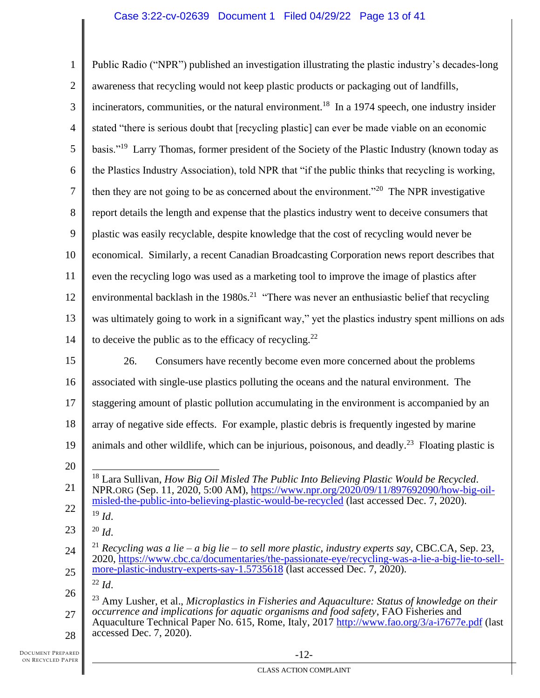# Case 3:22-cv-02639 Document 1 Filed 04/29/22 Page 13 of 41

| $\mathbf{1}$      | Public Radio ("NPR") published an investigation illustrating the plastic industry's decades-long                                                                                                                 |
|-------------------|------------------------------------------------------------------------------------------------------------------------------------------------------------------------------------------------------------------|
| $\mathbf{2}$      | awareness that recycling would not keep plastic products or packaging out of landfills,                                                                                                                          |
| 3                 | incinerators, communities, or the natural environment. <sup>18</sup> In a 1974 speech, one industry insider                                                                                                      |
| $\overline{4}$    | stated "there is serious doubt that [recycling plastic] can ever be made viable on an economic                                                                                                                   |
| 5                 | basis." <sup>19</sup> Larry Thomas, former president of the Society of the Plastic Industry (known today as                                                                                                      |
| 6                 | the Plastics Industry Association), told NPR that "if the public thinks that recycling is working,                                                                                                               |
| $\tau$            | then they are not going to be as concerned about the environment." <sup>20</sup> The NPR investigative                                                                                                           |
| 8                 | report details the length and expense that the plastics industry went to deceive consumers that                                                                                                                  |
| 9                 | plastic was easily recyclable, despite knowledge that the cost of recycling would never be                                                                                                                       |
| 10                | economical. Similarly, a recent Canadian Broadcasting Corporation news report describes that                                                                                                                     |
| 11                | even the recycling logo was used as a marketing tool to improve the image of plastics after                                                                                                                      |
| 12                | environmental backlash in the 1980s. <sup>21</sup> "There was never an enthusiastic belief that recycling                                                                                                        |
| 13                | was ultimately going to work in a significant way," yet the plastics industry spent millions on ads                                                                                                              |
| 14                | to deceive the public as to the efficacy of recycling. <sup>22</sup>                                                                                                                                             |
| 15                | Consumers have recently become even more concerned about the problems<br>26.                                                                                                                                     |
| 16                | associated with single-use plastics polluting the oceans and the natural environment. The                                                                                                                        |
| 17                | staggering amount of plastic pollution accumulating in the environment is accompanied by an                                                                                                                      |
| 18                | array of negative side effects. For example, plastic debris is frequently ingested by marine                                                                                                                     |
| 19                | animals and other wildlife, which can be injurious, poisonous, and deadly. <sup>23</sup> Floating plastic is                                                                                                     |
| 20                |                                                                                                                                                                                                                  |
| 21                | $^{18}$ Lara Sullivan, How Big Oil Misled The Public Into Believing Plastic Would be Recycled.<br>NPR.ORG (Sep. 11, 2020, 5:00 AM), https://www.npr.org/2020/09/11/897692090/how-big-oil-                        |
| 22                | misled-the-public-into-believing-plastic-would-be-recycled (last accessed Dec. 7, 2020).<br>$19$ Id.                                                                                                             |
| 23                | $20$ <i>Id.</i>                                                                                                                                                                                                  |
| 24                | <sup>21</sup> Recycling was a lie – a big lie – to sell more plastic, industry experts say, CBC.CA, Sep. 23,<br>2020, https://www.cbc.ca/documentaries/the-passionate-eye/recycling-was-a-lie-a-big-lie-to-sell- |
| 25                | more-plastic-industry-experts-say-1.5735618 (last accessed Dec. 7, 2020).                                                                                                                                        |
| 26                | $22$ Id.<br>$^{23}$ Amy Lusher, et al., Microplastics in Fisheries and Aquaculture: Status of knowledge on their                                                                                                 |
| 27                | occurrence and implications for aquatic organisms and food safety, FAO Fisheries and<br>Aquaculture Technical Paper No. 615, Rome, Italy, 2017 http://www.fao.org/3/a-i7677e.pdf (last                           |
| 28                | accessed Dec. 7, 2020).                                                                                                                                                                                          |
| ARED <sup>*</sup> | $-12-$                                                                                                                                                                                                           |

Ш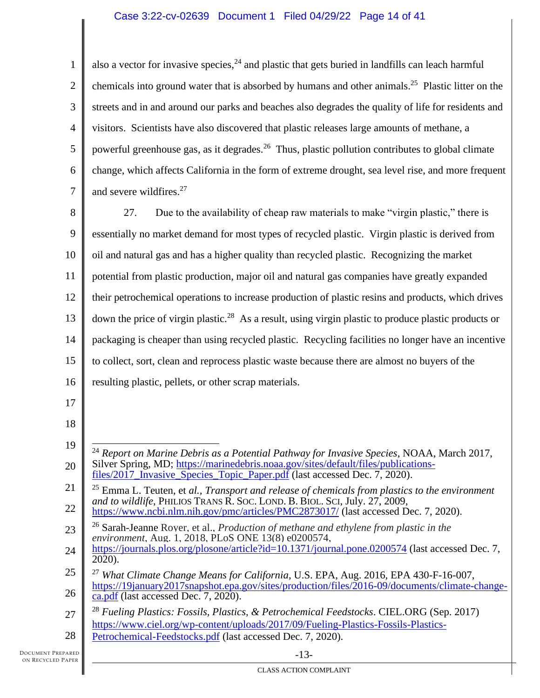# Case 3:22-cv-02639 Document 1 Filed 04/29/22 Page 14 of 41

1 2 3 4 5 6 7 also a vector for invasive species,  $^{24}$  and plastic that gets buried in landfills can leach harmful chemicals into ground water that is absorbed by humans and other animals.<sup>25</sup> Plastic litter on the streets and in and around our parks and beaches also degrades the quality of life for residents and visitors. Scientists have also discovered that plastic releases large amounts of methane, a powerful greenhouse gas, as it degrades.<sup>26</sup> Thus, plastic pollution contributes to global climate change, which affects California in the form of extreme drought, sea level rise, and more frequent and severe wildfires. 27

8 9 10 11 12 13 14 15 16 27. Due to the availability of cheap raw materials to make "virgin plastic," there is essentially no market demand for most types of recycled plastic. Virgin plastic is derived from oil and natural gas and has a higher quality than recycled plastic. Recognizing the market potential from plastic production, major oil and natural gas companies have greatly expanded their petrochemical operations to increase production of plastic resins and products, which drives down the price of virgin plastic.<sup>28</sup> As a result, using virgin plastic to produce plastic products or packaging is cheaper than using recycled plastic. Recycling facilities no longer have an incentive to collect, sort, clean and reprocess plastic waste because there are almost no buyers of the resulting plastic, pellets, or other scrap materials.

- 17
- 18

28 [Petrochemical-Feedstocks.pdf](https://www.ciel.org/wp-content/uploads/2017/09/Fueling-Plastics-Fossils-Plastics-Petrochemical-Feedstocks.pdf) (last accessed Dec. 7, 2020).

<sup>19</sup> 20 <sup>24</sup> *Report on Marine Debris as a Potential Pathway for Invasive Species*, NOAA, March 2017, Silver Spring, MD; [https://marinedebris.noaa.gov/sites/default/files/publications](https://marinedebris.noaa.gov/sites/default/files/publications-files/2017_Invasive_Species_Topic_Paper.pdf)[files/2017\\_Invasive\\_Species\\_Topic\\_Paper.pdf](https://marinedebris.noaa.gov/sites/default/files/publications-files/2017_Invasive_Species_Topic_Paper.pdf) (last accessed Dec. 7, 2020).

<sup>21</sup> 22 <sup>25</sup> Emma L. Teuten, et *al., Transport and release of chemicals from plastics to the environment and to wildlife*, PHILIOS TRANS R. SOC. LOND. B. BIOL. SCI, July. 27, 2009, <https://www.ncbi.nlm.nih.gov/pmc/articles/PMC2873017/> (last accessed Dec. 7, 2020).

<sup>23</sup> <sup>26</sup> Sarah-Jeanne Royer, et al., *Production of methane and ethylene from plastic in the environment*, Aug. 1, 2018, PLoS ONE 13(8) e0200574,

<sup>24</sup> <https://journals.plos.org/plosone/article?id=10.1371/journal.pone.0200574> (last accessed Dec. 7,  $20\overline{2}0$ ).

<sup>25</sup> 26 <sup>27</sup> *What Climate Change Means for California*, U.S. EPA, Aug. 2016, EPA 430-F-16-007, [https://19january2017snapshot.epa.gov/sites/production/files/2016-09/documents/climate-change](https://19january2017snapshot.epa.gov/sites/production/files/2016-09/documents/climate-change-ca.pdf)[ca.pdf](https://19january2017snapshot.epa.gov/sites/production/files/2016-09/documents/climate-change-ca.pdf) (last accessed Dec. 7, 2020).

<sup>27</sup> <sup>28</sup> *Fueling Plastics: Fossils, Plastics, & Petrochemical Feedstocks*. CIEL.ORG (Sep. 2017) [https://www.ciel.org/wp-content/uploads/2017/09/Fueling-Plastics-Fossils-Plastics-](https://www.ciel.org/wp-content/uploads/2017/09/Fueling-Plastics-Fossils-Plastics-Petrochemical-Feedstocks.pdf)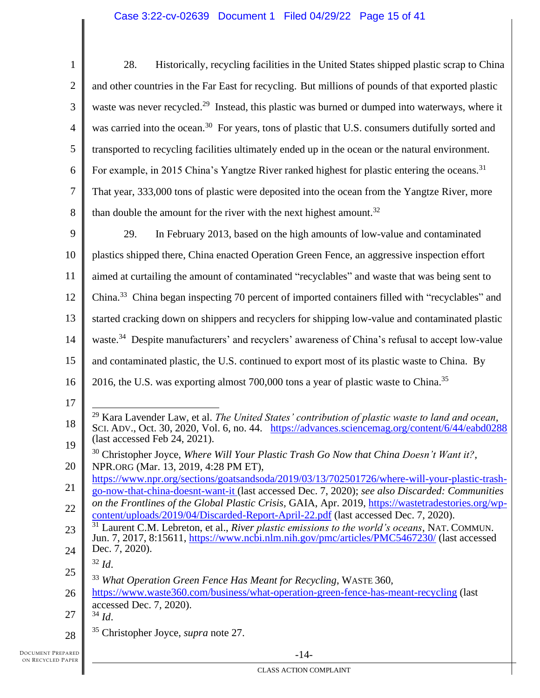| $\mathbf{1}$   | Historically, recycling facilities in the United States shipped plastic scrap to China<br>28.                                                                                                                  |
|----------------|----------------------------------------------------------------------------------------------------------------------------------------------------------------------------------------------------------------|
| $\mathfrak{2}$ | and other countries in the Far East for recycling. But millions of pounds of that exported plastic                                                                                                             |
| 3              | waste was never recycled. <sup>29</sup> Instead, this plastic was burned or dumped into waterways, where it                                                                                                    |
| $\overline{4}$ | was carried into the ocean. <sup>30</sup> For years, tons of plastic that U.S. consumers dutifully sorted and                                                                                                  |
| 5              | transported to recycling facilities ultimately ended up in the ocean or the natural environment.                                                                                                               |
| 6              | For example, in 2015 China's Yangtze River ranked highest for plastic entering the oceans. <sup>31</sup>                                                                                                       |
| 7              | That year, 333,000 tons of plastic were deposited into the ocean from the Yangtze River, more                                                                                                                  |
| 8              | than double the amount for the river with the next highest amount. <sup>32</sup>                                                                                                                               |
| 9              | 29.<br>In February 2013, based on the high amounts of low-value and contaminated                                                                                                                               |
| 10             | plastics shipped there, China enacted Operation Green Fence, an aggressive inspection effort                                                                                                                   |
| 11             | aimed at curtailing the amount of contaminated "recyclables" and waste that was being sent to                                                                                                                  |
| 12             | China. <sup>33</sup> China began inspecting 70 percent of imported containers filled with "recyclables" and                                                                                                    |
| 13             | started cracking down on shippers and recyclers for shipping low-value and contaminated plastic                                                                                                                |
| 14             | waste. <sup>34</sup> Despite manufacturers' and recyclers' awareness of China's refusal to accept low-value                                                                                                    |
|                |                                                                                                                                                                                                                |
| 15             | and contaminated plastic, the U.S. continued to export most of its plastic waste to China. By                                                                                                                  |
| 16             | 2016, the U.S. was exporting almost 700,000 tons a year of plastic waste to China. <sup>35</sup>                                                                                                               |
| 17             |                                                                                                                                                                                                                |
| 18             | <sup>29</sup> Kara Lavender Law, et al. The United States' contribution of plastic waste to land and ocean,<br>SCI. ADV., Oct. 30, 2020, Vol. 6, no. 44. https://advances.sciencemag.org/content/6/44/eabd0288 |
| 19             | (last accessed Feb 24, 2021).                                                                                                                                                                                  |
| 20             | <sup>30</sup> Christopher Joyce, Where Will Your Plastic Trash Go Now that China Doesn't Want it?,<br>NPR.ORG (Mar. 13, 2019, 4:28 PM ET),                                                                     |
| 21             | https://www.npr.org/sections/goatsandsoda/2019/03/13/702501726/where-will-your-plastic-trash-<br>go-now-that-china-doesnt-want-it (last accessed Dec. 7, 2020); see also Discarded: Communities                |
| 22             | on the Frontlines of the Global Plastic Crisis, GAIA, Apr. 2019, https://wastetradestories.org/wp-                                                                                                             |
| 23             | content/uploads/2019/04/Discarded-Report-April-22.pdf (last accessed Dec. 7, 2020).<br><sup>31</sup> Laurent C.M. Lebreton, et al., <i>River plastic emissions to the world's oceans</i> , NAT. COMMUN.        |
| 24             | Jun. 7, 2017, 8:15611, https://www.ncbi.nlm.nih.gov/pmc/articles/PMC5467230/ (last accessed<br>Dec. 7, 2020).                                                                                                  |
| 25             | $32$ <i>Id.</i>                                                                                                                                                                                                |
| 26             | <sup>33</sup> What Operation Green Fence Has Meant for Recycling, WASTE 360,<br>https://www.waste360.com/business/what-operation-green-fence-has-meant-recycling (last                                         |
| 27             | accessed Dec. 7, 2020).<br>$34$ <i>Id.</i>                                                                                                                                                                     |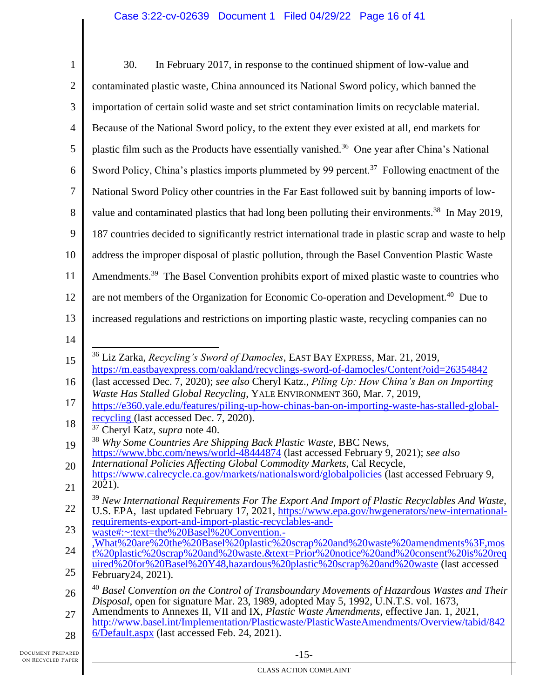| $\mathbf{1}$   | 30.<br>In February 2017, in response to the continued shipment of low-value and                                                                                                                           |
|----------------|-----------------------------------------------------------------------------------------------------------------------------------------------------------------------------------------------------------|
| $\overline{2}$ | contaminated plastic waste, China announced its National Sword policy, which banned the                                                                                                                   |
| 3              | importation of certain solid waste and set strict contamination limits on recyclable material.                                                                                                            |
| $\overline{4}$ | Because of the National Sword policy, to the extent they ever existed at all, end markets for                                                                                                             |
| 5              | plastic film such as the Products have essentially vanished. <sup>36</sup> One year after China's National                                                                                                |
| 6              | Sword Policy, China's plastics imports plummeted by 99 percent. <sup>37</sup> Following enactment of the                                                                                                  |
| $\overline{7}$ | National Sword Policy other countries in the Far East followed suit by banning imports of low-                                                                                                            |
| 8              | value and contaminated plastics that had long been polluting their environments. <sup>38</sup> In May 2019,                                                                                               |
| 9              | 187 countries decided to significantly restrict international trade in plastic scrap and waste to help                                                                                                    |
| 10             | address the improper disposal of plastic pollution, through the Basel Convention Plastic Waste                                                                                                            |
| 11             | Amendments. <sup>39</sup> The Basel Convention prohibits export of mixed plastic waste to countries who                                                                                                   |
| 12             | are not members of the Organization for Economic Co-operation and Development. <sup>40</sup> Due to                                                                                                       |
| 13             | increased regulations and restrictions on importing plastic waste, recycling companies can no                                                                                                             |
| 14             |                                                                                                                                                                                                           |
| 15             | <sup>36</sup> Liz Zarka, Recycling's Sword of Damocles, EAST BAY EXPRESS, Mar. 21, 2019,<br>https://m.eastbayexpress.com/oakland/recyclings-sword-of-damocles/Content?oid=26354842                        |
| 16             | (last accessed Dec. 7, 2020); see also Cheryl Katz., Piling Up: How China's Ban on Importing                                                                                                              |
| 17             | Waste Has Stalled Global Recycling, YALE ENVIRONMENT 360, Mar. 7, 2019,<br>https://e360.yale.edu/features/piling-up-how-chinas-ban-on-importing-waste-has-stalled-global-                                 |
| 18             | recycling (last accessed Dec. 7, 2020).<br><sup>37</sup> Cheryl Katz, <i>supra</i> note 40.                                                                                                               |
| 19             | <sup>38</sup> Why Some Countries Are Shipping Back Plastic Waste, BBC News,<br>https://www.bbc.com/news/world-48444874 (last accessed February 9, 2021); see also                                         |
| 20             | International Policies Affecting Global Commodity Markets, Cal Recycle,<br>https://www.calrecycle.ca.gov/markets/nationalsword/globalpolicies (last accessed February 9,                                  |
| 21             | 2021).                                                                                                                                                                                                    |
| 22             | <sup>39</sup> New International Requirements For The Export And Import of Plastic Recyclables And Waste,<br>U.S. EPA, last updated February 17, 2021, https://www.epa.gov/hwgenerators/new-international- |
| 23             | requirements-export-and-import-plastic-recyclables-and-<br>waste#:~:text=the%20Basel%20Convention.-                                                                                                       |
| 24             | What%20are%20the%20Basel%20plastic%20scrap%20and%20waste%20amendments%3F,mos<br>t%20plastic%20scrap%20and%20waste.&text=Prior%20notice%20and%20consent%20is%20req                                         |
| 25             | uired%20for%20Basel%20Y48,hazardous%20plastic%20scrap%20and%20waste (last accessed<br>February 24, 2021).                                                                                                 |
| 26             | $^{40}$ Basel Convention on the Control of Transboundary Movements of Hazardous Wastes and Their<br>Disposal, open for signature Mar. 23, 1989, adopted May 5, 1992, U.N.T.S. vol. 1673,                  |
| 27             | Amendments to Annexes II, VII and IX, <i>Plastic Waste Amendments</i> , effective Jan. 1, 2021,<br>http://www.basel.int/Implementation/Plasticwaste/PlasticWasteAmendments/Overview/tabid/842             |
| 28             | 6/Default.aspx (last accessed Feb. 24, 2021).                                                                                                                                                             |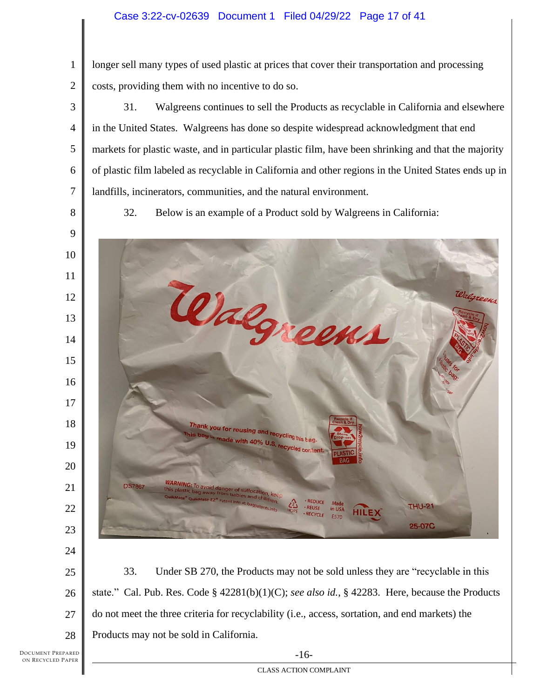longer sell many types of used plastic at prices that cover their transportation and processing costs, providing them with no incentive to do so.

 31. Walgreens continues to sell the Products as recyclable in California and elsewhere in the United States. Walgreens has done so despite widespread acknowledgment that end markets for plastic waste, and in particular plastic film, have been shrinking and that the majority of plastic film labeled as recyclable in California and other regions in the United States ends up in landfills, incinerators, communities, and the natural environment.

32. Below is an example of a Product sold by Walgreens in California:



 33. Under SB 270, the Products may not be sold unless they are "recyclable in this state." Cal. Pub. Res. Code § 42281(b)(1)(C); *see also id.*, § 42283. Here, because the Products do not meet the three criteria for recyclability (i.e., access, sortation, and end markets) the Products may not be sold in California.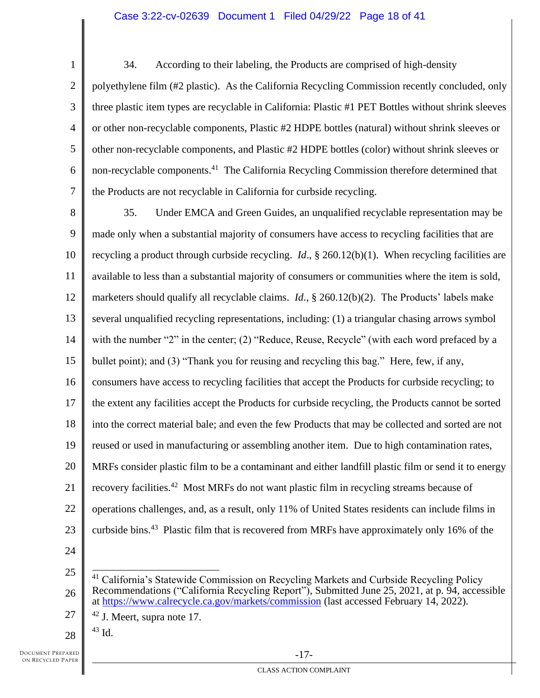1 2 3 4 5 6 7 34. According to their labeling, the Products are comprised of high-density polyethylene film (#2 plastic). As the California Recycling Commission recently concluded, only three plastic item types are recyclable in California: Plastic #1 PET Bottles without shrink sleeves or other non-recyclable components, Plastic #2 HDPE bottles (natural) without shrink sleeves or other non-recyclable components, and Plastic #2 HDPE bottles (color) without shrink sleeves or non-recyclable components.<sup>41</sup> The California Recycling Commission therefore determined that the Products are not recyclable in California for curbside recycling.

8 9 10 11 12 13 14 15 16 17 18 19 20 21 22 23 35. Under EMCA and Green Guides, an unqualified recyclable representation may be made only when a substantial majority of consumers have access to recycling facilities that are recycling a product through curbside recycling. *Id*., § 260.12(b)(1). When recycling facilities are available to less than a substantial majority of consumers or communities where the item is sold, marketers should qualify all recyclable claims. *Id*., § 260.12(b)(2). The Products' labels make several unqualified recycling representations, including: (1) a triangular chasing arrows symbol with the number "2" in the center; (2) "Reduce, Reuse, Recycle" (with each word prefaced by a bullet point); and (3) "Thank you for reusing and recycling this bag." Here, few, if any, consumers have access to recycling facilities that accept the Products for curbside recycling; to the extent any facilities accept the Products for curbside recycling, the Products cannot be sorted into the correct material bale; and even the few Products that may be collected and sorted are not reused or used in manufacturing or assembling another item. Due to high contamination rates, MRFs consider plastic film to be a contaminant and either landfill plastic film or send it to energy recovery facilities.<sup>42</sup> Most MRFs do not want plastic film in recycling streams because of operations challenges, and, as a result, only 11% of United States residents can include films in curbside bins.<sup>43</sup> Plastic film that is recovered from MRFs have approximately only 16% of the

24

28  $43$  Id.

<sup>25</sup> 26 <sup>41</sup> California's Statewide Commission on Recycling Markets and Curbside Recycling Policy Recommendations ("California Recycling Report"), Submitted June 25, 2021, at p. 94, accessible at<https://www.calrecycle.ca.gov/markets/commission> (last accessed February 14, 2022).

<sup>27</sup>  $42$  J. Meert, supra note 17.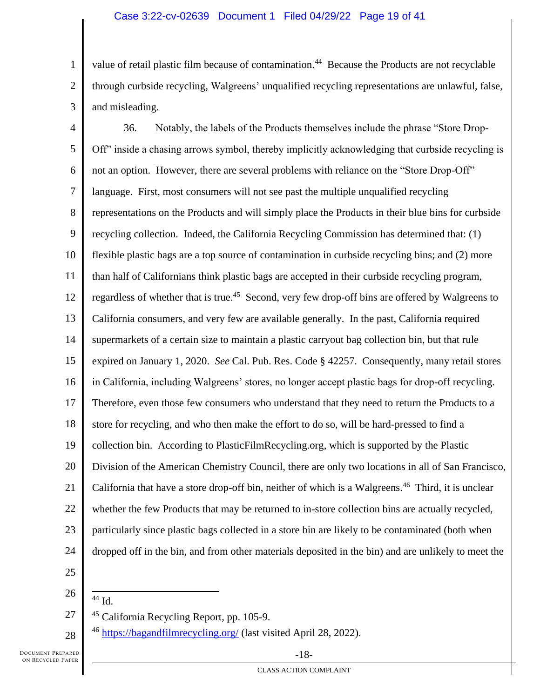# Case 3:22-cv-02639 Document 1 Filed 04/29/22 Page 19 of 41

1 2 3 value of retail plastic film because of contamination.<sup>44</sup> Because the Products are not recyclable through curbside recycling, Walgreens' unqualified recycling representations are unlawful, false, and misleading.

4 5 6 7 8 9 10 11 12 13 14 15 16 17 18 19 20 21 22 23 24 25 36. Notably, the labels of the Products themselves include the phrase "Store Drop-Off" inside a chasing arrows symbol, thereby implicitly acknowledging that curbside recycling is not an option. However, there are several problems with reliance on the "Store Drop-Off" language. First, most consumers will not see past the multiple unqualified recycling representations on the Products and will simply place the Products in their blue bins for curbside recycling collection. Indeed, the California Recycling Commission has determined that: (1) flexible plastic bags are a top source of contamination in curbside recycling bins; and (2) more than half of Californians think plastic bags are accepted in their curbside recycling program, regardless of whether that is true.<sup>45</sup> Second, very few drop-off bins are offered by Walgreens to California consumers, and very few are available generally. In the past, California required supermarkets of a certain size to maintain a plastic carryout bag collection bin, but that rule expired on January 1, 2020. *See* Cal. Pub. Res. Code § 42257. Consequently, many retail stores in California, including Walgreens' stores, no longer accept plastic bags for drop-off recycling. Therefore, even those few consumers who understand that they need to return the Products to a store for recycling, and who then make the effort to do so, will be hard-pressed to find a collection bin. According to PlasticFilmRecycling.org, which is supported by the Plastic Division of the American Chemistry Council, there are only two locations in all of San Francisco, California that have a store drop-off bin, neither of which is a Walgreens.<sup>46</sup> Third, it is unclear whether the few Products that may be returned to in-store collection bins are actually recycled, particularly since plastic bags collected in a store bin are likely to be contaminated (both when dropped off in the bin, and from other materials deposited in the bin) and are unlikely to meet the

27

28

26  $44$  Id.

<sup>45</sup> California Recycling Report, pp. 105-9.

<sup>46</sup> <https://bagandfilmrecycling.org/> (last visited April 28, 2022).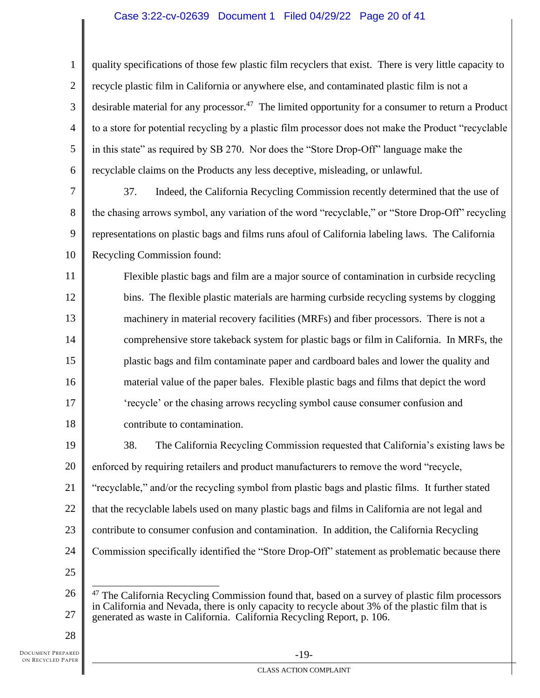# Case 3:22-cv-02639 Document 1 Filed 04/29/22 Page 20 of 41

1 2 3 4 5 6 quality specifications of those few plastic film recyclers that exist. There is very little capacity to recycle plastic film in California or anywhere else, and contaminated plastic film is not a desirable material for any processor.<sup>47</sup> The limited opportunity for a consumer to return a Product to a store for potential recycling by a plastic film processor does not make the Product "recyclable in this state" as required by SB 270. Nor does the "Store Drop-Off" language make the recyclable claims on the Products any less deceptive, misleading, or unlawful.

7 8 9 10 37. Indeed, the California Recycling Commission recently determined that the use of the chasing arrows symbol, any variation of the word "recyclable," or "Store Drop-Off" recycling representations on plastic bags and films runs afoul of California labeling laws. The California Recycling Commission found:

11 12 13 14 15 16 17 18 Flexible plastic bags and film are a major source of contamination in curbside recycling bins. The flexible plastic materials are harming curbside recycling systems by clogging machinery in material recovery facilities (MRFs) and fiber processors. There is not a comprehensive store takeback system for plastic bags or film in California. In MRFs, the plastic bags and film contaminate paper and cardboard bales and lower the quality and material value of the paper bales. Flexible plastic bags and films that depict the word 'recycle' or the chasing arrows recycling symbol cause consumer confusion and contribute to contamination.

19 20 21 22 23 24 25 38. The California Recycling Commission requested that California's existing laws be enforced by requiring retailers and product manufacturers to remove the word "recycle, "recyclable," and/or the recycling symbol from plastic bags and plastic films. It further stated that the recyclable labels used on many plastic bags and films in California are not legal and contribute to consumer confusion and contamination. In addition, the California Recycling Commission specifically identified the "Store Drop-Off" statement as problematic because there

<sup>26</sup> 27  $47$  The California Recycling Commission found that, based on a survey of plastic film processors in California and Nevada, there is only capacity to recycle about 3% of the plastic film that is generated as waste in California. California Recycling Report, p. 106.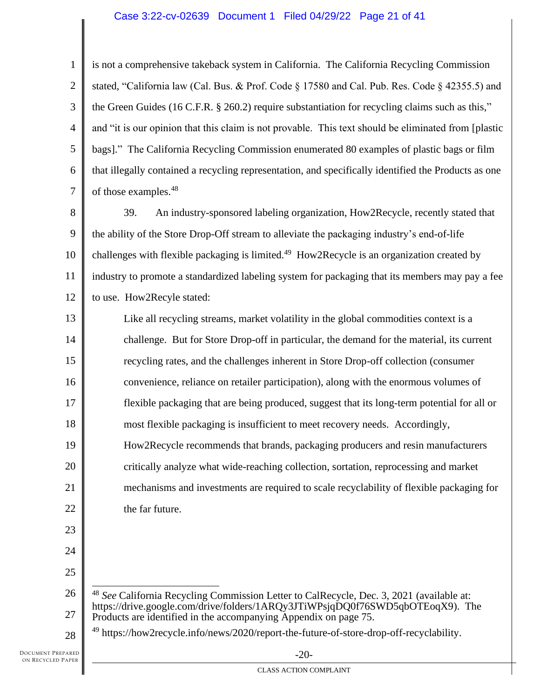# Case 3:22-cv-02639 Document 1 Filed 04/29/22 Page 21 of 41

1 2 3 4 5 6 7 is not a comprehensive takeback system in California. The California Recycling Commission stated, "California law (Cal. Bus. & Prof. Code § 17580 and Cal. Pub. Res. Code § 42355.5) and the Green Guides (16 C.F.R. § 260.2) require substantiation for recycling claims such as this," and "it is our opinion that this claim is not provable. This text should be eliminated from [plastic bags]." The California Recycling Commission enumerated 80 examples of plastic bags or film that illegally contained a recycling representation, and specifically identified the Products as one of those examples.<sup>48</sup>

8 9 10 11 12 39. An industry-sponsored labeling organization, How2Recycle, recently stated that the ability of the Store Drop-Off stream to alleviate the packaging industry's end-of-life challenges with flexible packaging is limited.<sup>49</sup> How2Recycle is an organization created by industry to promote a standardized labeling system for packaging that its members may pay a fee to use. How2Recyle stated:

13 14 15 16 17 18 19 20 21 22 Like all recycling streams, market volatility in the global commodities context is a challenge. But for Store Drop-off in particular, the demand for the material, its current recycling rates, and the challenges inherent in Store Drop-off collection (consumer convenience, reliance on retailer participation), along with the enormous volumes of flexible packaging that are being produced, suggest that its long-term potential for all or most flexible packaging is insufficient to meet recovery needs. Accordingly, How2Recycle recommends that brands, packaging producers and resin manufacturers critically analyze what wide-reaching collection, sortation, reprocessing and market mechanisms and investments are required to scale recyclability of flexible packaging for the far future.

23 24

25

28

26 27 <sup>48</sup> *See* California Recycling Commission Letter to CalRecycle, Dec. 3, 2021 (available at: https://drive.google.com/drive/folders/1ARQy3JTiWPsjqDQ0f76SWD5qbOTEoqX9). The Products are identified in the accompanying Appendix on page 75.

<sup>&</sup>lt;sup>49</sup> https://how2recycle.info/news/2020/report-the-future-of-store-drop-off-recyclability.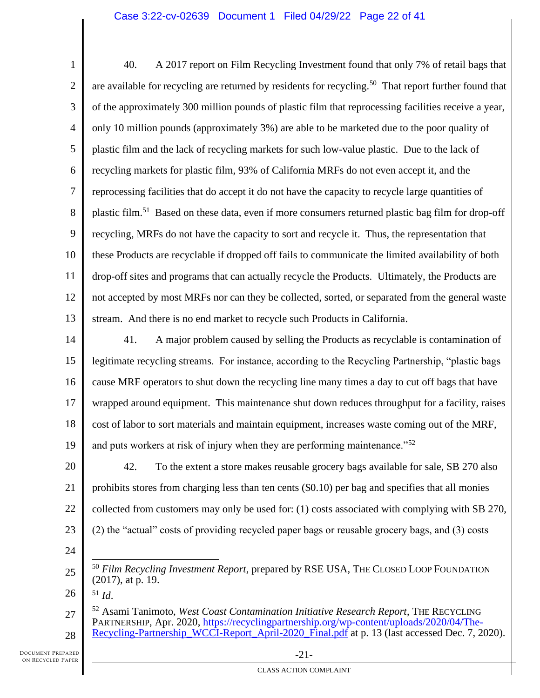1 2 3 4 5 6 7 8 9 10 11 12 13 40. A 2017 report on Film Recycling Investment found that only 7% of retail bags that are available for recycling are returned by residents for recycling.<sup>50</sup> That report further found that of the approximately 300 million pounds of plastic film that reprocessing facilities receive a year, only 10 million pounds (approximately 3%) are able to be marketed due to the poor quality of plastic film and the lack of recycling markets for such low-value plastic. Due to the lack of recycling markets for plastic film, 93% of California MRFs do not even accept it, and the reprocessing facilities that do accept it do not have the capacity to recycle large quantities of plastic film.<sup>51</sup> Based on these data, even if more consumers returned plastic bag film for drop-off recycling, MRFs do not have the capacity to sort and recycle it. Thus, the representation that these Products are recyclable if dropped off fails to communicate the limited availability of both drop-off sites and programs that can actually recycle the Products. Ultimately, the Products are not accepted by most MRFs nor can they be collected, sorted, or separated from the general waste stream. And there is no end market to recycle such Products in California.

14 15 16 17 18 19 41. A major problem caused by selling the Products as recyclable is contamination of legitimate recycling streams. For instance, according to the Recycling Partnership, "plastic bags cause MRF operators to shut down the recycling line many times a day to cut off bags that have wrapped around equipment. This maintenance shut down reduces throughput for a facility, raises cost of labor to sort materials and maintain equipment, increases waste coming out of the MRF, and puts workers at risk of injury when they are performing maintenance.<sup> $52$ </sup>

20 21 22 23 42. To the extent a store makes reusable grocery bags available for sale, SB 270 also prohibits stores from charging less than ten cents (\$0.10) per bag and specifies that all monies collected from customers may only be used for: (1) costs associated with complying with SB 270, (2) the "actual" costs of providing recycled paper bags or reusable grocery bags, and (3) costs

 $^{51}$  *Id.* 

24

<sup>25</sup> <sup>50</sup> *Film Recycling Investment Report*, prepared by RSE USA, THE CLOSED LOOP FOUNDATION (2017), at p. 19.

<sup>27</sup> 28 <sup>52</sup> Asami Tanimoto, *West Coast Contamination Initiative Research Report*, THE RECYCLING PARTNERSHIP, Apr. 2020, [https://recyclingpartnership.org/wp-content/uploads/2020/04/The-](https://recyclingpartnership.org/wp-content/uploads/2020/04/The-Recycling-Partnership_WCCI-Report_April-2020_Final.pdf)[Recycling-Partnership\\_WCCI-Report\\_April-2020\\_Final.pdf](https://recyclingpartnership.org/wp-content/uploads/2020/04/The-Recycling-Partnership_WCCI-Report_April-2020_Final.pdf) at p. 13 (last accessed Dec. 7, 2020).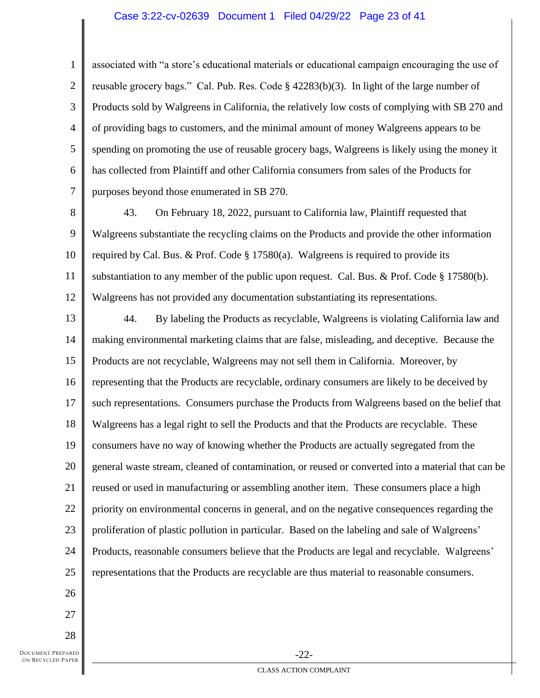#### Case 3:22-cv-02639 Document 1 Filed 04/29/22 Page 23 of 41

associated with "a store's educational materials or educational campaign encouraging the use of reusable grocery bags." Cal. Pub. Res. Code § 42283(b)(3). In light of the large number of Products sold by Walgreens in California, the relatively low costs of complying with SB 270 and of providing bags to customers, and the minimal amount of money Walgreens appears to be spending on promoting the use of reusable grocery bags, Walgreens is likely using the money it has collected from Plaintiff and other California consumers from sales of the Products for purposes beyond those enumerated in SB 270.

8 9 10 11 12 43. On February 18, 2022, pursuant to California law, Plaintiff requested that Walgreens substantiate the recycling claims on the Products and provide the other information required by Cal. Bus. & Prof. Code  $\S$  17580(a). Walgreens is required to provide its substantiation to any member of the public upon request. Cal. Bus. & Prof. Code § 17580(b). Walgreens has not provided any documentation substantiating its representations.

13 14 15 16 17 18 19 20 21 22 23 24 25 44. By labeling the Products as recyclable, Walgreens is violating California law and making environmental marketing claims that are false, misleading, and deceptive. Because the Products are not recyclable, Walgreens may not sell them in California. Moreover, by representing that the Products are recyclable, ordinary consumers are likely to be deceived by such representations. Consumers purchase the Products from Walgreens based on the belief that Walgreens has a legal right to sell the Products and that the Products are recyclable. These consumers have no way of knowing whether the Products are actually segregated from the general waste stream, cleaned of contamination, or reused or converted into a material that can be reused or used in manufacturing or assembling another item. These consumers place a high priority on environmental concerns in general, and on the negative consequences regarding the proliferation of plastic pollution in particular. Based on the labeling and sale of Walgreens' Products, reasonable consumers believe that the Products are legal and recyclable. Walgreens' representations that the Products are recyclable are thus material to reasonable consumers.

26 27

1

2

3

4

5

6

7

28

DOCUMENT PREPARED ON RECYCLED PAPER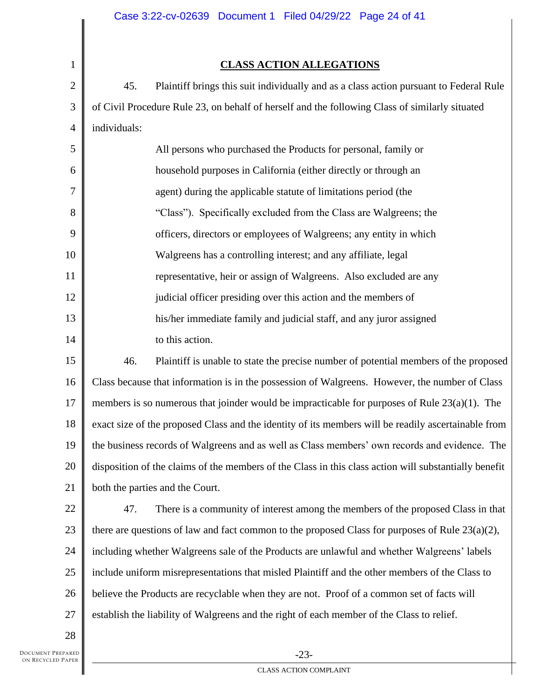# **CLASS ACTION ALLEGATIONS**

45. Plaintiff brings this suit individually and as a class action pursuant to Federal Rule of Civil Procedure Rule 23, on behalf of herself and the following Class of similarly situated individuals:

| 5  | All persons who purchased the Products for personal, family or      |
|----|---------------------------------------------------------------------|
| 6  | household purposes in California (either directly or through an     |
| 7  | agent) during the applicable statute of limitations period (the     |
| 8  | "Class"). Specifically excluded from the Class are Walgreens; the   |
| 9  | officers, directors or employees of Walgreens; any entity in which  |
| 10 | Walgreens has a controlling interest; and any affiliate, legal      |
| 11 | representative, heir or assign of Walgreens. Also excluded are any  |
| 12 | judicial officer presiding over this action and the members of      |
| 13 | his/her immediate family and judicial staff, and any juror assigned |
| 14 | to this action.                                                     |

15 16 17 18 19 20 21 46. Plaintiff is unable to state the precise number of potential members of the proposed Class because that information is in the possession of Walgreens. However, the number of Class members is so numerous that joinder would be impracticable for purposes of Rule 23(a)(1). The exact size of the proposed Class and the identity of its members will be readily ascertainable from the business records of Walgreens and as well as Class members' own records and evidence. The disposition of the claims of the members of the Class in this class action will substantially benefit both the parties and the Court.

22 23 24 25 26 27 47. There is a community of interest among the members of the proposed Class in that there are questions of law and fact common to the proposed Class for purposes of Rule  $23(a)(2)$ , including whether Walgreens sale of the Products are unlawful and whether Walgreens' labels include uniform misrepresentations that misled Plaintiff and the other members of the Class to believe the Products are recyclable when they are not. Proof of a common set of facts will establish the liability of Walgreens and the right of each member of the Class to relief.

28

1

2

3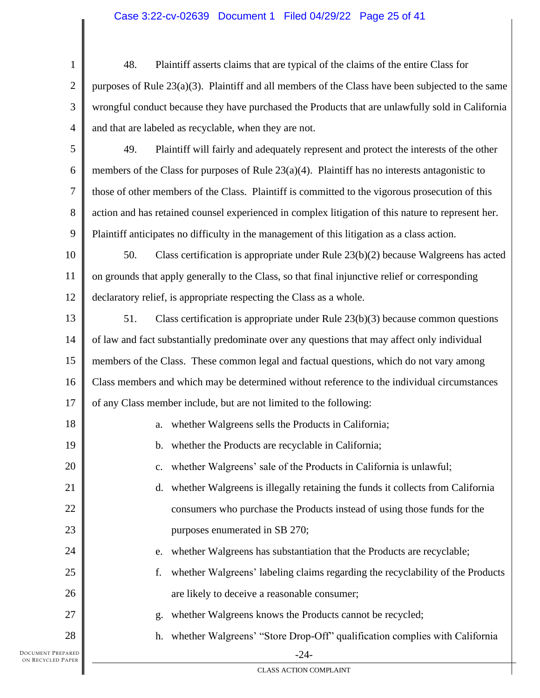# Case 3:22-cv-02639 Document 1 Filed 04/29/22 Page 25 of 41

1 2 3 4 48. Plaintiff asserts claims that are typical of the claims of the entire Class for purposes of Rule 23(a)(3). Plaintiff and all members of the Class have been subjected to the same wrongful conduct because they have purchased the Products that are unlawfully sold in California and that are labeled as recyclable, when they are not.

5 6 7 8 9 49. Plaintiff will fairly and adequately represent and protect the interests of the other members of the Class for purposes of Rule  $23(a)(4)$ . Plaintiff has no interests antagonistic to those of other members of the Class. Plaintiff is committed to the vigorous prosecution of this action and has retained counsel experienced in complex litigation of this nature to represent her. Plaintiff anticipates no difficulty in the management of this litigation as a class action.

10 11 12 50. Class certification is appropriate under Rule 23(b)(2) because Walgreens has acted on grounds that apply generally to the Class, so that final injunctive relief or corresponding declaratory relief, is appropriate respecting the Class as a whole.

13 14 15 16 17 51. Class certification is appropriate under Rule 23(b)(3) because common questions of law and fact substantially predominate over any questions that may affect only individual members of the Class. These common legal and factual questions, which do not vary among Class members and which may be determined without reference to the individual circumstances of any Class member include, but are not limited to the following:

| 18     | whether Walgreens sells the Products in California;<br>a.                            |
|--------|--------------------------------------------------------------------------------------|
| 19     | whether the Products are recyclable in California;<br>b.                             |
| 20     | whether Walgreens' sale of the Products in California is unlawful;<br>$\mathbf{C}$ . |
| 21     | whether Walgreens is illegally retaining the funds it collects from California<br>d. |
| 22     | consumers who purchase the Products instead of using those funds for the             |
| 23     | purposes enumerated in SB 270;                                                       |
| 24     | whether Walgreens has substantiation that the Products are recyclable;<br>e.         |
| 25     | whether Walgreens' labeling claims regarding the recyclability of the Products<br>f. |
| 26     | are likely to deceive a reasonable consumer;                                         |
| 27     | whether Walgreens knows the Products cannot be recycled;<br>g.                       |
| 28     | h. whether Walgreens' "Store Drop-Off" qualification complies with California        |
| EPARED | $-24-$                                                                               |

DOCUMENT PREPARED ON RECYCLED PAPER

CLASS ACTION COMPLAINT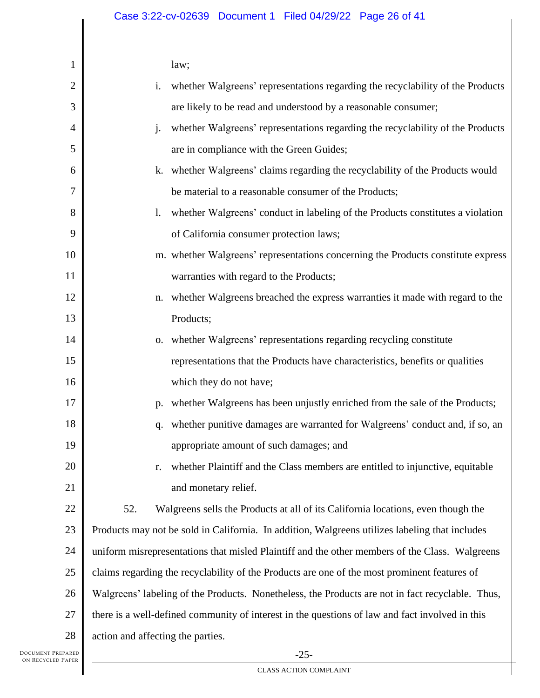| 1              | law;                                                                                             |
|----------------|--------------------------------------------------------------------------------------------------|
| $\overline{2}$ | i.<br>whether Walgreens' representations regarding the recyclability of the Products             |
| 3              | are likely to be read and understood by a reasonable consumer;                                   |
| 4              | whether Walgreens' representations regarding the recyclability of the Products<br>$\mathbf{i}$ . |
| 5              | are in compliance with the Green Guides;                                                         |
| 6              | whether Walgreens' claims regarding the recyclability of the Products would<br>k.                |
| 7              | be material to a reasonable consumer of the Products;                                            |
| 8              | whether Walgreens' conduct in labeling of the Products constitutes a violation<br>1.             |
| 9              | of California consumer protection laws;                                                          |
| 10             | m. whether Walgreens' representations concerning the Products constitute express                 |
| 11             | warranties with regard to the Products;                                                          |
| 12             | whether Walgreens breached the express warranties it made with regard to the<br>n.               |
| 13             | Products;                                                                                        |
| 14             | o. whether Walgreens' representations regarding recycling constitute                             |
| 15             | representations that the Products have characteristics, benefits or qualities                    |
| 16             | which they do not have;                                                                          |
| 17             | whether Walgreens has been unjustly enriched from the sale of the Products;<br>p.                |
| 18             | whether punitive damages are warranted for Walgreens' conduct and, if so, an<br>q.               |
| 19             | appropriate amount of such damages; and                                                          |
| 20             | whether Plaintiff and the Class members are entitled to injunctive, equitable<br>r.              |
| 21             | and monetary relief.                                                                             |
| 22             | Walgreens sells the Products at all of its California locations, even though the<br>52.          |
| 23             | Products may not be sold in California. In addition, Walgreens utilizes labeling that includes   |
| 24             | uniform misrepresentations that misled Plaintiff and the other members of the Class. Walgreens   |
| 25             | claims regarding the recyclability of the Products are one of the most prominent features of     |
| 26             | Walgreens' labeling of the Products. Nonetheless, the Products are not in fact recyclable. Thus, |
| 27             | there is a well-defined community of interest in the questions of law and fact involved in this  |
| 28             | action and affecting the parties.                                                                |
| PARED          | າເ                                                                                               |

 $\blacksquare$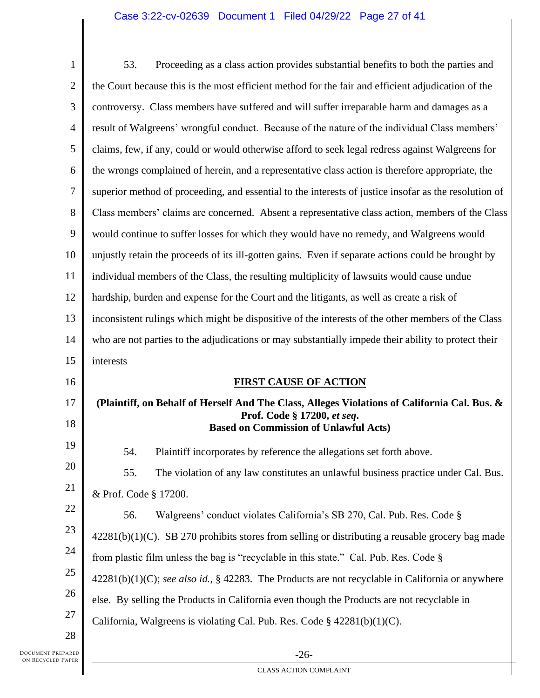# Case 3:22-cv-02639 Document 1 Filed 04/29/22 Page 27 of 41

| $\mathbf{1}$ | Proceeding as a class action provides substantial benefits to both the parties and<br>53.             |
|--------------|-------------------------------------------------------------------------------------------------------|
| 2            | the Court because this is the most efficient method for the fair and efficient adjudication of the    |
| 3            | controversy. Class members have suffered and will suffer irreparable harm and damages as a            |
| 4            | result of Walgreens' wrongful conduct. Because of the nature of the individual Class members'         |
| 5            | claims, few, if any, could or would otherwise afford to seek legal redress against Walgreens for      |
| 6            | the wrongs complained of herein, and a representative class action is therefore appropriate, the      |
| 7            | superior method of proceeding, and essential to the interests of justice insofar as the resolution of |
| 8            | Class members' claims are concerned. Absent a representative class action, members of the Class       |
| 9            | would continue to suffer losses for which they would have no remedy, and Walgreens would              |
| 10           | unjustly retain the proceeds of its ill-gotten gains. Even if separate actions could be brought by    |
| 11           | individual members of the Class, the resulting multiplicity of lawsuits would cause undue             |
| 12           | hardship, burden and expense for the Court and the litigants, as well as create a risk of             |
| 13           | inconsistent rulings which might be dispositive of the interests of the other members of the Class    |
| 14           | who are not parties to the adjudications or may substantially impede their ability to protect their   |
|              |                                                                                                       |
| 15           | interests                                                                                             |
| 16           | <b>FIRST CAUSE OF ACTION</b>                                                                          |
| 17           | (Plaintiff, on Behalf of Herself And The Class, Alleges Violations of California Cal. Bus. &          |
| 18           | Prof. Code § 17200, et seq.<br><b>Based on Commission of Unlawful Acts)</b>                           |
| 19           | Plaintiff incorporates by reference the allegations set forth above.<br>54.                           |
| 20           | 55.<br>The violation of any law constitutes an unlawful business practice under Cal. Bus.             |
| 21           | & Prof. Code § 17200.                                                                                 |
| 22           | 56.<br>Walgreens' conduct violates California's SB 270, Cal. Pub. Res. Code §                         |
| 23           | $42281(b)(1)(C)$ . SB 270 prohibits stores from selling or distributing a reusable grocery bag made   |
| 24           | from plastic film unless the bag is "recyclable in this state." Cal. Pub. Res. Code §                 |
| 25           | $42281(b)(1)(C)$ ; see also id., § 42283. The Products are not recyclable in California or anywhere   |
| 26           | else. By selling the Products in California even though the Products are not recyclable in            |
| 27           | California, Walgreens is violating Cal. Pub. Res. Code $\S$ 42281(b)(1)(C).                           |

DOCUMENT PREPARED ON RECYCLED PAPER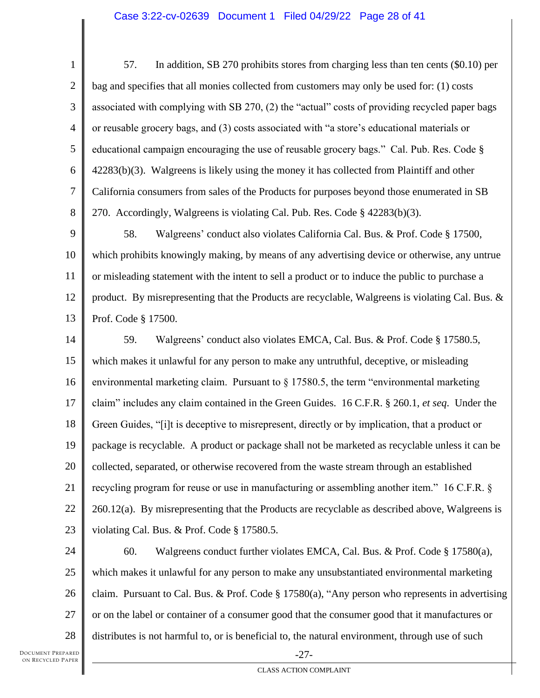1 2 3 4 5 6 7 8 57. In addition, SB 270 prohibits stores from charging less than ten cents (\$0.10) per bag and specifies that all monies collected from customers may only be used for: (1) costs associated with complying with SB 270, (2) the "actual" costs of providing recycled paper bags or reusable grocery bags, and (3) costs associated with "a store's educational materials or educational campaign encouraging the use of reusable grocery bags." Cal. Pub. Res. Code § 42283(b)(3). Walgreens is likely using the money it has collected from Plaintiff and other California consumers from sales of the Products for purposes beyond those enumerated in SB 270. Accordingly, Walgreens is violating Cal. Pub. Res. Code § 42283(b)(3).

9 10 11 12 13 58. Walgreens' conduct also violates California Cal. Bus. & Prof. Code § 17500, which prohibits knowingly making, by means of any advertising device or otherwise, any untrue or misleading statement with the intent to sell a product or to induce the public to purchase a product. By misrepresenting that the Products are recyclable, Walgreens is violating Cal. Bus.  $\&$ Prof. Code § 17500.

14 15 16 17 18 19 20 21 22 23 59. Walgreens' conduct also violates EMCA, Cal. Bus. & Prof. Code § 17580.5, which makes it unlawful for any person to make any untruthful, deceptive, or misleading environmental marketing claim. Pursuant to  $\S 17580.5$ , the term "environmental marketing claim" includes any claim contained in the Green Guides. 16 C.F.R. § 260.1, *et seq*. Under the Green Guides, "[i]t is deceptive to misrepresent, directly or by implication, that a product or package is recyclable. A product or package shall not be marketed as recyclable unless it can be collected, separated, or otherwise recovered from the waste stream through an established recycling program for reuse or use in manufacturing or assembling another item." 16 C.F.R. § 260.12(a). By misrepresenting that the Products are recyclable as described above, Walgreens is violating Cal. Bus. & Prof. Code § 17580.5.

24 25 26 27 28 60. Walgreens conduct further violates EMCA, Cal. Bus. & Prof. Code § 17580(a), which makes it unlawful for any person to make any unsubstantiated environmental marketing claim. Pursuant to Cal. Bus. & Prof. Code  $\S 17580(a)$ , "Any person who represents in advertising or on the label or container of a consumer good that the consumer good that it manufactures or distributes is not harmful to, or is beneficial to, the natural environment, through use of such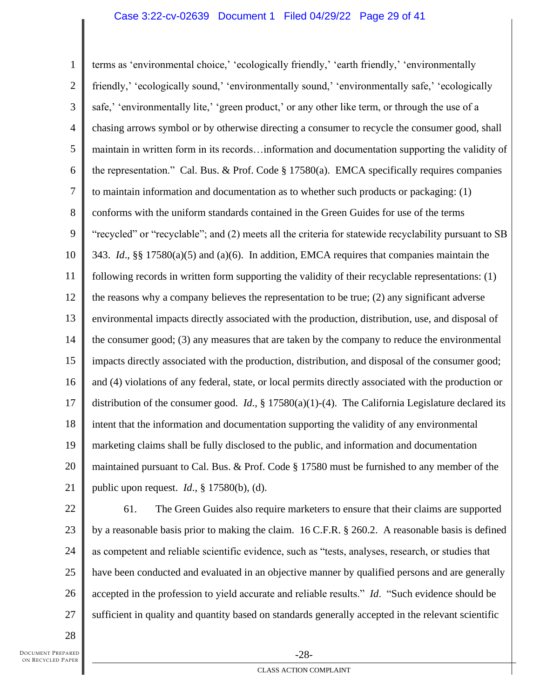### Case 3:22-cv-02639 Document 1 Filed 04/29/22 Page 29 of 41

1 2 3 4 5 6 7 8 9 10 11 12 13 14 15 16 17 18 19 20 21 terms as 'environmental choice,' 'ecologically friendly,' 'earth friendly,' 'environmentally friendly,' 'ecologically sound,' 'environmentally sound,' 'environmentally safe,' 'ecologically safe,' 'environmentally lite,' 'green product,' or any other like term, or through the use of a chasing arrows symbol or by otherwise directing a consumer to recycle the consumer good, shall maintain in written form in its records…information and documentation supporting the validity of the representation." Cal. Bus. & Prof. Code § 17580(a). EMCA specifically requires companies to maintain information and documentation as to whether such products or packaging: (1) conforms with the uniform standards contained in the Green Guides for use of the terms "recycled" or "recyclable"; and (2) meets all the criteria for statewide recyclability pursuant to SB 343. *Id*., §§ 17580(a)(5) and (a)(6). In addition, EMCA requires that companies maintain the following records in written form supporting the validity of their recyclable representations: (1) the reasons why a company believes the representation to be true; (2) any significant adverse environmental impacts directly associated with the production, distribution, use, and disposal of the consumer good; (3) any measures that are taken by the company to reduce the environmental impacts directly associated with the production, distribution, and disposal of the consumer good; and (4) violations of any federal, state, or local permits directly associated with the production or distribution of the consumer good. *Id*., § 17580(a)(1)-(4). The California Legislature declared its intent that the information and documentation supporting the validity of any environmental marketing claims shall be fully disclosed to the public, and information and documentation maintained pursuant to Cal. Bus. & Prof. Code § 17580 must be furnished to any member of the public upon request. *Id*., § 17580(b), (d).

23 24

22 25 26 27 61. The Green Guides also require marketers to ensure that their claims are supported by a reasonable basis prior to making the claim. 16 C.F.R. § 260.2. A reasonable basis is defined as competent and reliable scientific evidence, such as "tests, analyses, research, or studies that have been conducted and evaluated in an objective manner by qualified persons and are generally accepted in the profession to yield accurate and reliable results." *Id*. "Such evidence should be sufficient in quality and quantity based on standards generally accepted in the relevant scientific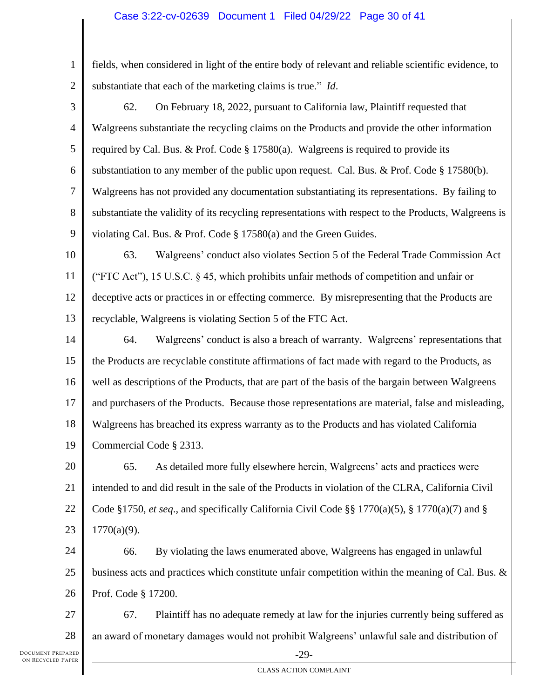# Case 3:22-cv-02639 Document 1 Filed 04/29/22 Page 30 of 41

1 2 fields, when considered in light of the entire body of relevant and reliable scientific evidence, to substantiate that each of the marketing claims is true." *Id*.

3 4 5 6 7 8 9 62. On February 18, 2022, pursuant to California law, Plaintiff requested that Walgreens substantiate the recycling claims on the Products and provide the other information required by Cal. Bus. & Prof. Code  $\S 17580(a)$ . Walgreens is required to provide its substantiation to any member of the public upon request. Cal. Bus. & Prof. Code  $\S$  17580(b). Walgreens has not provided any documentation substantiating its representations. By failing to substantiate the validity of its recycling representations with respect to the Products, Walgreens is violating Cal. Bus. & Prof. Code § 17580(a) and the Green Guides.

10 11 12 13 63. Walgreens' conduct also violates Section 5 of the Federal Trade Commission Act ("FTC Act"), 15 U.S.C. § 45, which prohibits unfair methods of competition and unfair or deceptive acts or practices in or effecting commerce. By misrepresenting that the Products are recyclable, Walgreens is violating Section 5 of the FTC Act.

14 15 16 17 18 19 64. Walgreens' conduct is also a breach of warranty. Walgreens' representations that the Products are recyclable constitute affirmations of fact made with regard to the Products, as well as descriptions of the Products, that are part of the basis of the bargain between Walgreens and purchasers of the Products. Because those representations are material, false and misleading, Walgreens has breached its express warranty as to the Products and has violated California Commercial Code § 2313.

20 21 22 23 65. As detailed more fully elsewhere herein, Walgreens' acts and practices were intended to and did result in the sale of the Products in violation of the CLRA, California Civil Code §1750, *et seq*., and specifically California Civil Code §§ 1770(a)(5), § 1770(a)(7) and §  $1770(a)(9)$ .

24 25 26 66. By violating the laws enumerated above, Walgreens has engaged in unlawful business acts and practices which constitute unfair competition within the meaning of Cal. Bus.  $\&$ Prof. Code § 17200.

27 28 67. Plaintiff has no adequate remedy at law for the injuries currently being suffered as an award of monetary damages would not prohibit Walgreens' unlawful sale and distribution of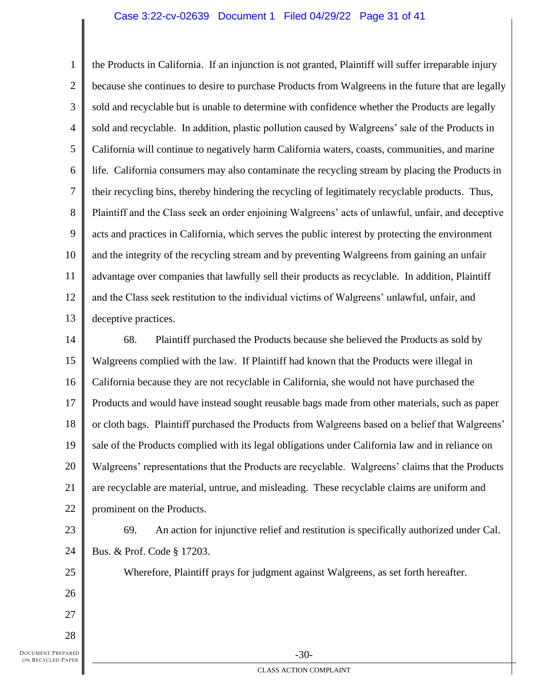#### Case 3:22-cv-02639 Document 1 Filed 04/29/22 Page 31 of 41

1 2 3 4 5 6 7 8 9 10 11 12 13 the Products in California. If an injunction is not granted, Plaintiff will suffer irreparable injury because she continues to desire to purchase Products from Walgreens in the future that are legally sold and recyclable but is unable to determine with confidence whether the Products are legally sold and recyclable. In addition, plastic pollution caused by Walgreens' sale of the Products in California will continue to negatively harm California waters, coasts, communities, and marine life. California consumers may also contaminate the recycling stream by placing the Products in their recycling bins, thereby hindering the recycling of legitimately recyclable products. Thus, Plaintiff and the Class seek an order enjoining Walgreens' acts of unlawful, unfair, and deceptive acts and practices in California, which serves the public interest by protecting the environment and the integrity of the recycling stream and by preventing Walgreens from gaining an unfair advantage over companies that lawfully sell their products as recyclable. In addition, Plaintiff and the Class seek restitution to the individual victims of Walgreens' unlawful, unfair, and deceptive practices.

14 15 16 17 18 19 20 21 22 68. Plaintiff purchased the Products because she believed the Products as sold by Walgreens complied with the law. If Plaintiff had known that the Products were illegal in California because they are not recyclable in California, she would not have purchased the Products and would have instead sought reusable bags made from other materials, such as paper or cloth bags. Plaintiff purchased the Products from Walgreens based on a belief that Walgreens' sale of the Products complied with its legal obligations under California law and in reliance on Walgreens' representations that the Products are recyclable. Walgreens' claims that the Products are recyclable are material, untrue, and misleading. These recyclable claims are uniform and prominent on the Products.

23 24

25

26

27

69. An action for injunctive relief and restitution is specifically authorized under Cal. Bus. & Prof. Code § 17203.

Wherefore, Plaintiff prays for judgment against Walgreens, as set forth hereafter.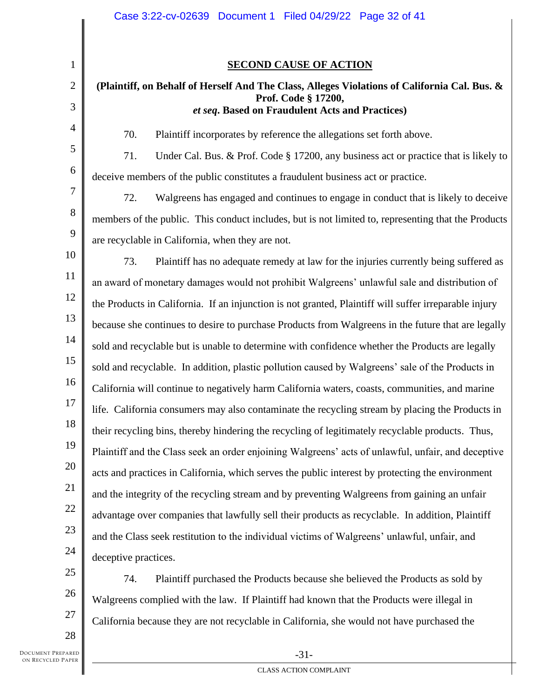8 9 10 12 13 14 15 16 17 18 19 20 22 23 24 25 26 **SECOND CAUSE OF ACTION (Plaintiff, on Behalf of Herself And The Class, Alleges Violations of California Cal. Bus. & Prof. Code § 17200,** *et seq***. Based on Fraudulent Acts and Practices)** 70. Plaintiff incorporates by reference the allegations set forth above. 71. Under Cal. Bus. & Prof. Code § 17200, any business act or practice that is likely to deceive members of the public constitutes a fraudulent business act or practice. 72. Walgreens has engaged and continues to engage in conduct that is likely to deceive members of the public. This conduct includes, but is not limited to, representing that the Products are recyclable in California, when they are not. 73. Plaintiff has no adequate remedy at law for the injuries currently being suffered as an award of monetary damages would not prohibit Walgreens' unlawful sale and distribution of the Products in California. If an injunction is not granted, Plaintiff will suffer irreparable injury because she continues to desire to purchase Products from Walgreens in the future that are legally sold and recyclable but is unable to determine with confidence whether the Products are legally sold and recyclable. In addition, plastic pollution caused by Walgreens' sale of the Products in California will continue to negatively harm California waters, coasts, communities, and marine life. California consumers may also contaminate the recycling stream by placing the Products in their recycling bins, thereby hindering the recycling of legitimately recyclable products. Thus, Plaintiff and the Class seek an order enjoining Walgreens' acts of unlawful, unfair, and deceptive acts and practices in California, which serves the public interest by protecting the environment and the integrity of the recycling stream and by preventing Walgreens from gaining an unfair advantage over companies that lawfully sell their products as recyclable. In addition, Plaintiff and the Class seek restitution to the individual victims of Walgreens' unlawful, unfair, and deceptive practices. 74. Plaintiff purchased the Products because she believed the Products as sold by

Walgreens complied with the law. If Plaintiff had known that the Products were illegal in California because they are not recyclable in California, she would not have purchased the

28

27

21

1

2

3

4

5

6

7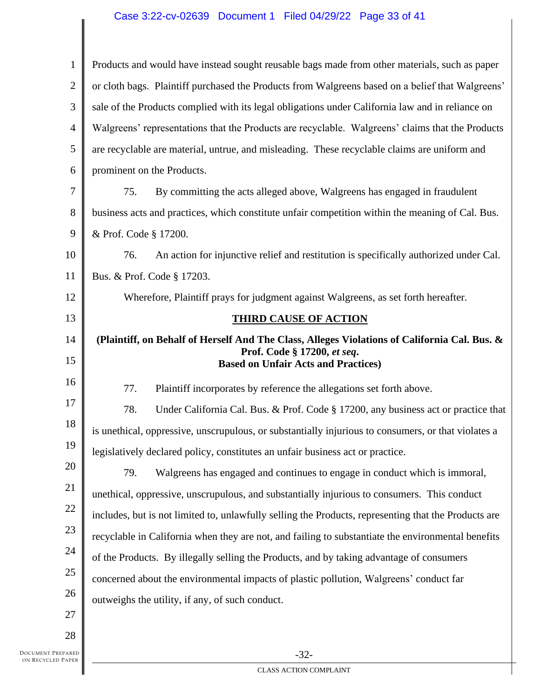# Case 3:22-cv-02639 Document 1 Filed 04/29/22 Page 33 of 41

| $\mathbf{1}$   | Products and would have instead sought reusable bags made from other materials, such as paper        |
|----------------|------------------------------------------------------------------------------------------------------|
| $\overline{2}$ | or cloth bags. Plaintiff purchased the Products from Walgreens based on a belief that Walgreens'     |
| 3              | sale of the Products complied with its legal obligations under California law and in reliance on     |
| $\overline{4}$ | Walgreens' representations that the Products are recyclable. Walgreens' claims that the Products     |
| 5              | are recyclable are material, untrue, and misleading. These recyclable claims are uniform and         |
| 6              | prominent on the Products.                                                                           |
| 7              | 75.<br>By committing the acts alleged above, Walgreens has engaged in fraudulent                     |
| 8              | business acts and practices, which constitute unfair competition within the meaning of Cal. Bus.     |
| 9              | & Prof. Code § 17200.                                                                                |
| 10             | An action for injunctive relief and restitution is specifically authorized under Cal.<br>76.         |
| 11             | Bus. & Prof. Code § 17203.                                                                           |
| 12             | Wherefore, Plaintiff prays for judgment against Walgreens, as set forth hereafter.                   |
| 13             | <b>THIRD CAUSE OF ACTION</b>                                                                         |
| 14             | (Plaintiff, on Behalf of Herself And The Class, Alleges Violations of California Cal. Bus. &         |
| 15             | Prof. Code § 17200, et seq.<br><b>Based on Unfair Acts and Practices)</b>                            |
| 16             | 77.<br>Plaintiff incorporates by reference the allegations set forth above.                          |
| 17             | 78.<br>Under California Cal. Bus. & Prof. Code § 17200, any business act or practice that            |
| 18             | is unethical, oppressive, unscrupulous, or substantially injurious to consumers, or that violates a  |
| 19             |                                                                                                      |
|                | legislatively declared policy, constitutes an unfair business act or practice.                       |
| 20             | 79.<br>Walgreens has engaged and continues to engage in conduct which is immoral,                    |
| 21             | unethical, oppressive, unscrupulous, and substantially injurious to consumers. This conduct          |
| 22             | includes, but is not limited to, unlawfully selling the Products, representing that the Products are |
| 23             | recyclable in California when they are not, and failing to substantiate the environmental benefits   |
| 24             | of the Products. By illegally selling the Products, and by taking advantage of consumers             |
| 25             | concerned about the environmental impacts of plastic pollution, Walgreens' conduct far               |
| 26             | outweighs the utility, if any, of such conduct.                                                      |
| 27             |                                                                                                      |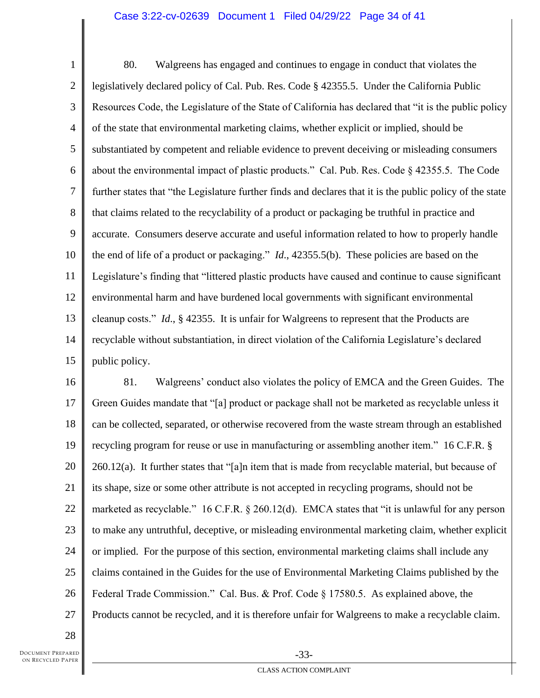### Case 3:22-cv-02639 Document 1 Filed 04/29/22 Page 34 of 41

1 2 3 4 5 6 7 8 9 10 11 12 13 14 15 80. Walgreens has engaged and continues to engage in conduct that violates the legislatively declared policy of Cal. Pub. Res. Code § 42355.5. Under the California Public Resources Code, the Legislature of the State of California has declared that "it is the public policy of the state that environmental marketing claims, whether explicit or implied, should be substantiated by competent and reliable evidence to prevent deceiving or misleading consumers about the environmental impact of plastic products." Cal. Pub. Res. Code § 42355.5. The Code further states that "the Legislature further finds and declares that it is the public policy of the state that claims related to the recyclability of a product or packaging be truthful in practice and accurate. Consumers deserve accurate and useful information related to how to properly handle the end of life of a product or packaging." *Id*., 42355.5(b). These policies are based on the Legislature's finding that "littered plastic products have caused and continue to cause significant environmental harm and have burdened local governments with significant environmental cleanup costs." *Id*., § 42355. It is unfair for Walgreens to represent that the Products are recyclable without substantiation, in direct violation of the California Legislature's declared public policy.

16 17 18 19 20 21 22 23 24 25 26 27 81. Walgreens' conduct also violates the policy of EMCA and the Green Guides. The Green Guides mandate that "[a] product or package shall not be marketed as recyclable unless it can be collected, separated, or otherwise recovered from the waste stream through an established recycling program for reuse or use in manufacturing or assembling another item." 16 C.F.R. § 260.12(a). It further states that "[a]n item that is made from recyclable material, but because of its shape, size or some other attribute is not accepted in recycling programs, should not be marketed as recyclable." 16 C.F.R. § 260.12(d). EMCA states that "it is unlawful for any person to make any untruthful, deceptive, or misleading environmental marketing claim, whether explicit or implied. For the purpose of this section, environmental marketing claims shall include any claims contained in the Guides for the use of Environmental Marketing Claims published by the Federal Trade Commission." Cal. Bus. & Prof. Code § 17580.5. As explained above, the Products cannot be recycled, and it is therefore unfair for Walgreens to make a recyclable claim.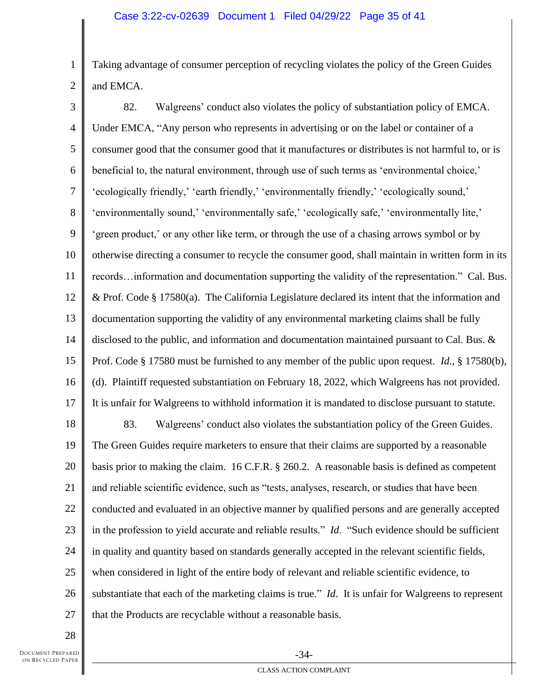1 2 Taking advantage of consumer perception of recycling violates the policy of the Green Guides and EMCA.

3 4 5 6 7 8 9 10 11 12 13 14 15 16 17 18 19 20 21 22 23 24 25 26 27 82. Walgreens' conduct also violates the policy of substantiation policy of EMCA. Under EMCA, "Any person who represents in advertising or on the label or container of a consumer good that the consumer good that it manufactures or distributes is not harmful to, or is beneficial to, the natural environment, through use of such terms as 'environmental choice,' 'ecologically friendly,' 'earth friendly,' 'environmentally friendly,' 'ecologically sound,' 'environmentally sound,' 'environmentally safe,' 'ecologically safe,' 'environmentally lite,' 'green product,' or any other like term, or through the use of a chasing arrows symbol or by otherwise directing a consumer to recycle the consumer good, shall maintain in written form in its records…information and documentation supporting the validity of the representation." Cal. Bus. & Prof. Code § 17580(a). The California Legislature declared its intent that the information and documentation supporting the validity of any environmental marketing claims shall be fully disclosed to the public, and information and documentation maintained pursuant to Cal. Bus. & Prof. Code § 17580 must be furnished to any member of the public upon request. *Id*., § 17580(b), (d). Plaintiff requested substantiation on February 18, 2022, which Walgreens has not provided. It is unfair for Walgreens to withhold information it is mandated to disclose pursuant to statute. 83. Walgreens' conduct also violates the substantiation policy of the Green Guides. The Green Guides require marketers to ensure that their claims are supported by a reasonable basis prior to making the claim. 16 C.F.R. § 260.2. A reasonable basis is defined as competent and reliable scientific evidence, such as "tests, analyses, research, or studies that have been conducted and evaluated in an objective manner by qualified persons and are generally accepted in the profession to yield accurate and reliable results." *Id*. "Such evidence should be sufficient in quality and quantity based on standards generally accepted in the relevant scientific fields, when considered in light of the entire body of relevant and reliable scientific evidence, to substantiate that each of the marketing claims is true." *Id*. It is unfair for Walgreens to represent that the Products are recyclable without a reasonable basis.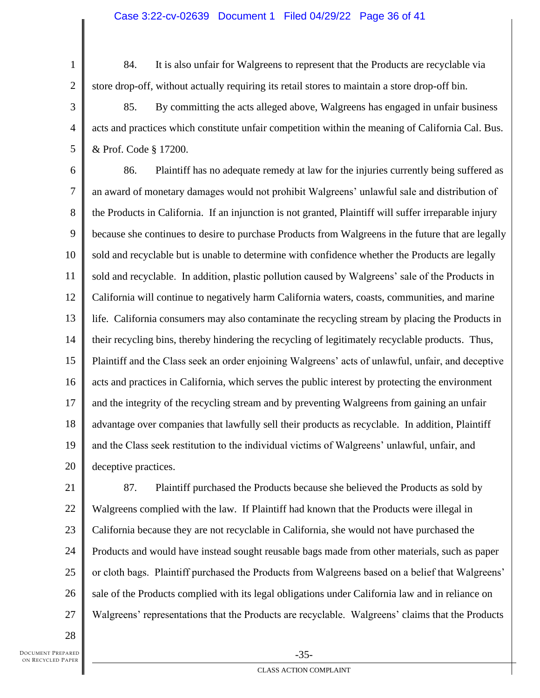84. It is also unfair for Walgreens to represent that the Products are recyclable via store drop-off, without actually requiring its retail stores to maintain a store drop-off bin.

3 4 5 85. By committing the acts alleged above, Walgreens has engaged in unfair business acts and practices which constitute unfair competition within the meaning of California Cal. Bus. & Prof. Code § 17200.

6 7 8 9 10 11 12 13 14 15 16 17 18 19 20 86. Plaintiff has no adequate remedy at law for the injuries currently being suffered as an award of monetary damages would not prohibit Walgreens' unlawful sale and distribution of the Products in California. If an injunction is not granted, Plaintiff will suffer irreparable injury because she continues to desire to purchase Products from Walgreens in the future that are legally sold and recyclable but is unable to determine with confidence whether the Products are legally sold and recyclable. In addition, plastic pollution caused by Walgreens' sale of the Products in California will continue to negatively harm California waters, coasts, communities, and marine life. California consumers may also contaminate the recycling stream by placing the Products in their recycling bins, thereby hindering the recycling of legitimately recyclable products. Thus, Plaintiff and the Class seek an order enjoining Walgreens' acts of unlawful, unfair, and deceptive acts and practices in California, which serves the public interest by protecting the environment and the integrity of the recycling stream and by preventing Walgreens from gaining an unfair advantage over companies that lawfully sell their products as recyclable. In addition, Plaintiff and the Class seek restitution to the individual victims of Walgreens' unlawful, unfair, and deceptive practices.

1

2

87. Plaintiff purchased the Products because she believed the Products as sold by Walgreens complied with the law. If Plaintiff had known that the Products were illegal in California because they are not recyclable in California, she would not have purchased the Products and would have instead sought reusable bags made from other materials, such as paper or cloth bags. Plaintiff purchased the Products from Walgreens based on a belief that Walgreens' sale of the Products complied with its legal obligations under California law and in reliance on Walgreens' representations that the Products are recyclable. Walgreens' claims that the Products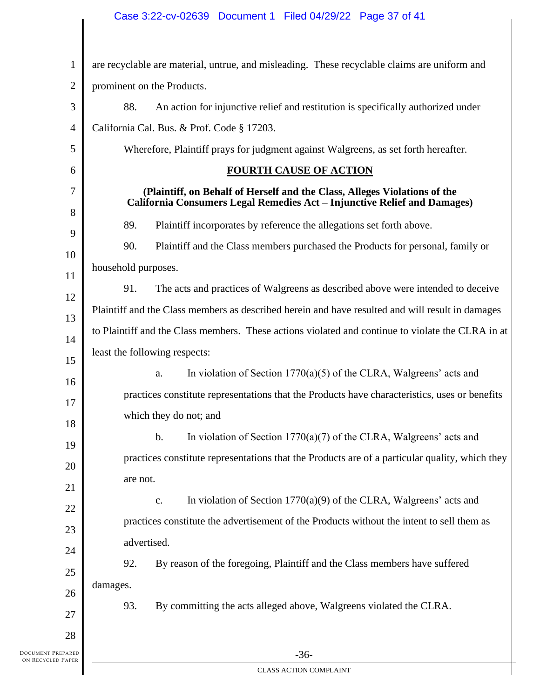# Case 3:22-cv-02639 Document 1 Filed 04/29/22 Page 37 of 41

| $\mathbf{1}$                           | are recyclable are material, untrue, and misleading. These recyclable claims are uniform and                                                          |
|----------------------------------------|-------------------------------------------------------------------------------------------------------------------------------------------------------|
| $\overline{2}$                         | prominent on the Products.                                                                                                                            |
| $\mathfrak{Z}$                         | 88.<br>An action for injunctive relief and restitution is specifically authorized under                                                               |
| 4                                      | California Cal. Bus. & Prof. Code § 17203.                                                                                                            |
| 5                                      | Wherefore, Plaintiff prays for judgment against Walgreens, as set forth hereafter.                                                                    |
| 6                                      | <b>FOURTH CAUSE OF ACTION</b>                                                                                                                         |
| $\overline{7}$<br>8                    | (Plaintiff, on Behalf of Herself and the Class, Alleges Violations of the<br>California Consumers Legal Remedies Act - Injunctive Relief and Damages) |
| 9                                      | 89.<br>Plaintiff incorporates by reference the allegations set forth above.                                                                           |
| 10                                     | 90.<br>Plaintiff and the Class members purchased the Products for personal, family or                                                                 |
| 11                                     | household purposes.                                                                                                                                   |
| 12                                     | 91.<br>The acts and practices of Walgreens as described above were intended to deceive                                                                |
| 13                                     | Plaintiff and the Class members as described herein and have resulted and will result in damages                                                      |
| 14                                     | to Plaintiff and the Class members. These actions violated and continue to violate the CLRA in at                                                     |
| 15                                     | least the following respects:                                                                                                                         |
| 16                                     | In violation of Section $1770(a)(5)$ of the CLRA, Walgreens' acts and<br>a.                                                                           |
| 17                                     | practices constitute representations that the Products have characteristics, uses or benefits                                                         |
| 18                                     | which they do not; and                                                                                                                                |
| 19                                     | In violation of Section $1770(a)(7)$ of the CLRA, Walgreens' acts and<br>b.                                                                           |
| 20                                     | practices constitute representations that the Products are of a particular quality, which they                                                        |
| 21                                     | are not.                                                                                                                                              |
| 22                                     | In violation of Section $1770(a)(9)$ of the CLRA, Walgreens' acts and<br>$\mathbf{c}.$                                                                |
| 23                                     | practices constitute the advertisement of the Products without the intent to sell them as                                                             |
| 24                                     | advertised.                                                                                                                                           |
| 25                                     | 92.<br>By reason of the foregoing, Plaintiff and the Class members have suffered                                                                      |
| 26                                     | damages.                                                                                                                                              |
| 27                                     | 93.<br>By committing the acts alleged above, Walgreens violated the CLRA.                                                                             |
| 28                                     |                                                                                                                                                       |
| DOCUMENT PREPARED<br>ON RECYCLED PAPER | $-36-$                                                                                                                                                |
|                                        | CLASS ACTION COMPLAINT                                                                                                                                |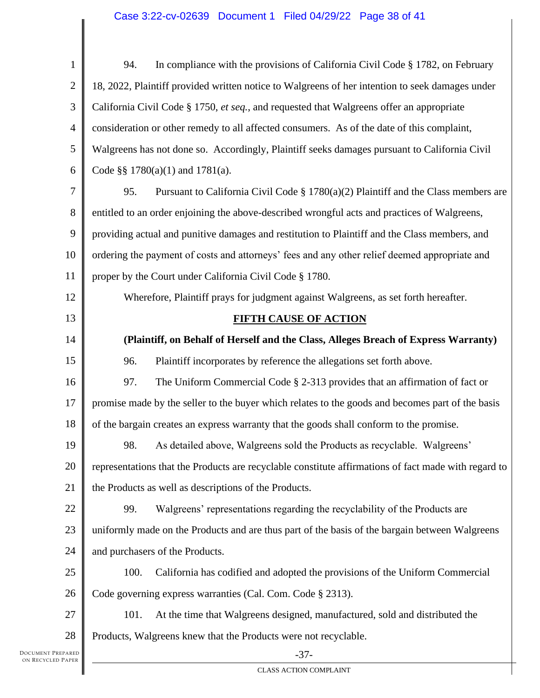# Case 3:22-cv-02639 Document 1 Filed 04/29/22 Page 38 of 41

| $\mathbf{1}$   | In compliance with the provisions of California Civil Code § 1782, on February<br>94.                |
|----------------|------------------------------------------------------------------------------------------------------|
| $\mathbf{2}$   | 18, 2022, Plaintiff provided written notice to Walgreens of her intention to seek damages under      |
| 3              | California Civil Code § 1750, et seq., and requested that Walgreens offer an appropriate             |
| $\overline{4}$ | consideration or other remedy to all affected consumers. As of the date of this complaint,           |
| 5              | Walgreens has not done so. Accordingly, Plaintiff seeks damages pursuant to California Civil         |
| 6              | Code §§ $1780(a)(1)$ and $1781(a)$ .                                                                 |
| $\tau$         | Pursuant to California Civil Code $\S 1780(a)(2)$ Plaintiff and the Class members are<br>95.         |
| $8\,$          | entitled to an order enjoining the above-described wrongful acts and practices of Walgreens,         |
| 9              | providing actual and punitive damages and restitution to Plaintiff and the Class members, and        |
| 10             | ordering the payment of costs and attorneys' fees and any other relief deemed appropriate and        |
| 11             | proper by the Court under California Civil Code § 1780.                                              |
| 12             | Wherefore, Plaintiff prays for judgment against Walgreens, as set forth hereafter.                   |
| 13             | <b>FIFTH CAUSE OF ACTION</b>                                                                         |
| 14             | (Plaintiff, on Behalf of Herself and the Class, Alleges Breach of Express Warranty)                  |
| 15             | Plaintiff incorporates by reference the allegations set forth above.<br>96.                          |
| 16             | 97.<br>The Uniform Commercial Code § 2-313 provides that an affirmation of fact or                   |
| 17             | promise made by the seller to the buyer which relates to the goods and becomes part of the basis     |
| 18             | of the bargain creates an express warranty that the goods shall conform to the promise.              |
| 19             | As detailed above, Walgreens sold the Products as recyclable. Walgreens'<br>98.                      |
| 20             | representations that the Products are recyclable constitute affirmations of fact made with regard to |
| 21             | the Products as well as descriptions of the Products.                                                |
| 22             | Walgreens' representations regarding the recyclability of the Products are<br>99.                    |
| 23             | uniformly made on the Products and are thus part of the basis of the bargain between Walgreens       |
| 24             | and purchasers of the Products.                                                                      |
| 25             | 100.<br>California has codified and adopted the provisions of the Uniform Commercial                 |
| 26             | Code governing express warranties (Cal. Com. Code § 2313).                                           |
| 27             | 101.<br>At the time that Walgreens designed, manufactured, sold and distributed the                  |
| 28             | Products, Walgreens knew that the Products were not recyclable.                                      |
| PARED<br>APER  | $-37-$                                                                                               |

Ш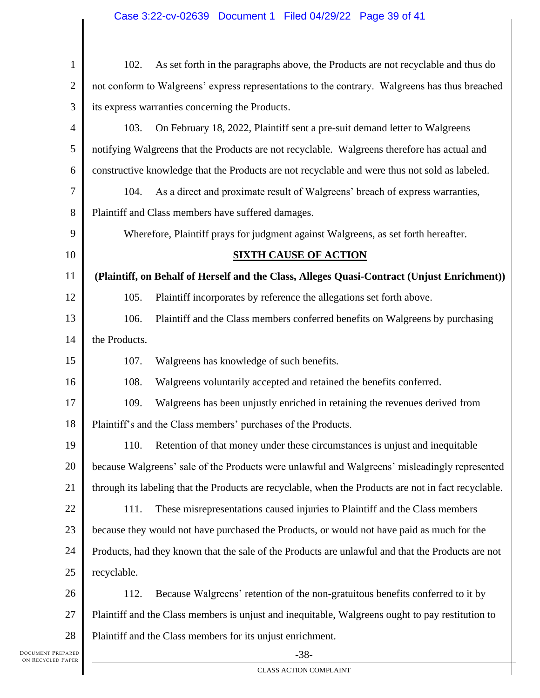| $\mathbf{1}$   | 102.<br>As set forth in the paragraphs above, the Products are not recyclable and thus do            |  |  |  |
|----------------|------------------------------------------------------------------------------------------------------|--|--|--|
| $\overline{2}$ | not conform to Walgreens' express representations to the contrary. Walgreens has thus breached       |  |  |  |
| 3              | its express warranties concerning the Products.                                                      |  |  |  |
| $\overline{4}$ | 103.<br>On February 18, 2022, Plaintiff sent a pre-suit demand letter to Walgreens                   |  |  |  |
| 5              | notifying Walgreens that the Products are not recyclable. Walgreens therefore has actual and         |  |  |  |
| 6              | constructive knowledge that the Products are not recyclable and were thus not sold as labeled.       |  |  |  |
| 7              | As a direct and proximate result of Walgreens' breach of express warranties,<br>104.                 |  |  |  |
| 8              | Plaintiff and Class members have suffered damages.                                                   |  |  |  |
| 9              | Wherefore, Plaintiff prays for judgment against Walgreens, as set forth hereafter.                   |  |  |  |
| 10             | <b>SIXTH CAUSE OF ACTION</b>                                                                         |  |  |  |
| 11             | (Plaintiff, on Behalf of Herself and the Class, Alleges Quasi-Contract (Unjust Enrichment))          |  |  |  |
| 12             | 105.<br>Plaintiff incorporates by reference the allegations set forth above.                         |  |  |  |
| 13             | 106.<br>Plaintiff and the Class members conferred benefits on Walgreens by purchasing                |  |  |  |
| 14             | the Products.                                                                                        |  |  |  |
| 15             | 107.<br>Walgreens has knowledge of such benefits.                                                    |  |  |  |
| 16             | 108.<br>Walgreens voluntarily accepted and retained the benefits conferred.                          |  |  |  |
| 17             | 109.<br>Walgreens has been unjustly enriched in retaining the revenues derived from                  |  |  |  |
| 18             | Plaintiff's and the Class members' purchases of the Products.                                        |  |  |  |
| 19             | 110. Retention of that money under these circumstances is unjust and inequitable                     |  |  |  |
| 20             | because Walgreens' sale of the Products were unlawful and Walgreens' misleadingly represented        |  |  |  |
| 21             | through its labeling that the Products are recyclable, when the Products are not in fact recyclable. |  |  |  |
| 22             | These misrepresentations caused injuries to Plaintiff and the Class members<br>111.                  |  |  |  |
| 23             | because they would not have purchased the Products, or would not have paid as much for the           |  |  |  |
| 24             | Products, had they known that the sale of the Products are unlawful and that the Products are not    |  |  |  |
| $25\,$         | recyclable.                                                                                          |  |  |  |
| 26             | 112.<br>Because Walgreens' retention of the non-gratuitous benefits conferred to it by               |  |  |  |
| 27             | Plaintiff and the Class members is unjust and inequitable, Walgreens ought to pay restitution to     |  |  |  |
| 28             | Plaintiff and the Class members for its unjust enrichment.                                           |  |  |  |
| EPARED         | $-38-$                                                                                               |  |  |  |

 $\mathbf l$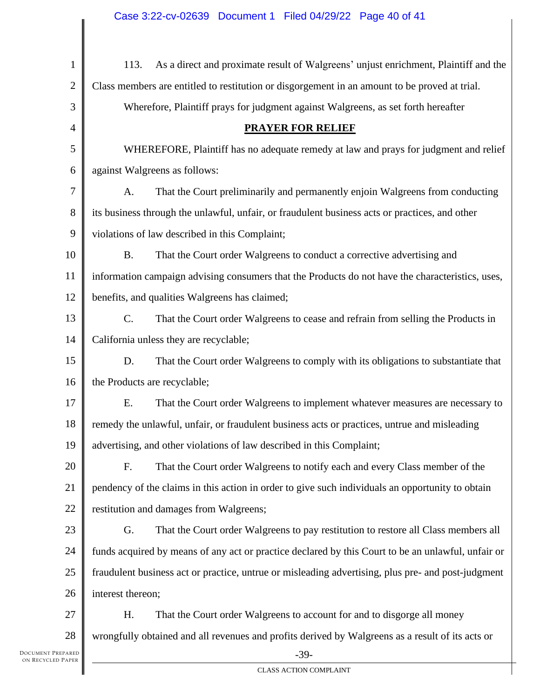| $\mathbf{1}$   | As a direct and proximate result of Walgreens' unjust enrichment, Plaintiff and the<br>113.        |  |  |  |
|----------------|----------------------------------------------------------------------------------------------------|--|--|--|
| $\overline{2}$ | Class members are entitled to restitution or disgorgement in an amount to be proved at trial.      |  |  |  |
| 3              | Wherefore, Plaintiff prays for judgment against Walgreens, as set forth hereafter                  |  |  |  |
| $\overline{4}$ | <b>PRAYER FOR RELIEF</b>                                                                           |  |  |  |
| 5              | WHEREFORE, Plaintiff has no adequate remedy at law and prays for judgment and relief               |  |  |  |
| 6              | against Walgreens as follows:                                                                      |  |  |  |
| $\tau$         | That the Court preliminarily and permanently enjoin Walgreens from conducting<br>A.                |  |  |  |
| 8              | its business through the unlawful, unfair, or fraudulent business acts or practices, and other     |  |  |  |
| 9              | violations of law described in this Complaint;                                                     |  |  |  |
| 10             | <b>B.</b><br>That the Court order Walgreens to conduct a corrective advertising and                |  |  |  |
| 11             | information campaign advising consumers that the Products do not have the characteristics, uses,   |  |  |  |
| 12             | benefits, and qualities Walgreens has claimed;                                                     |  |  |  |
| 13             | $C$ .<br>That the Court order Walgreens to cease and refrain from selling the Products in          |  |  |  |
| 14             | California unless they are recyclable;                                                             |  |  |  |
| 15             | D.<br>That the Court order Walgreens to comply with its obligations to substantiate that           |  |  |  |
| 16             | the Products are recyclable;                                                                       |  |  |  |
| 17             | E.<br>That the Court order Walgreens to implement whatever measures are necessary to               |  |  |  |
| 18             | remedy the unlawful, unfair, or fraudulent business acts or practices, untrue and misleading       |  |  |  |
|                | 19   advertising, and other violations of law described in this Complaint;                         |  |  |  |
| 20             | That the Court order Walgreens to notify each and every Class member of the<br>F.                  |  |  |  |
| 21             | pendency of the claims in this action in order to give such individuals an opportunity to obtain   |  |  |  |
| 22             | restitution and damages from Walgreens;                                                            |  |  |  |
| 23             | That the Court order Walgreens to pay restitution to restore all Class members all<br>G.           |  |  |  |
| 24             | funds acquired by means of any act or practice declared by this Court to be an unlawful, unfair or |  |  |  |
| 25             | fraudulent business act or practice, untrue or misleading advertising, plus pre- and post-judgment |  |  |  |
| 26             | interest thereon;                                                                                  |  |  |  |
| 27             | H.<br>That the Court order Walgreens to account for and to disgorge all money                      |  |  |  |
| 28             | wrongfully obtained and all revenues and profits derived by Walgreens as a result of its acts or   |  |  |  |
| PARED          | $-39-$                                                                                             |  |  |  |

Ш